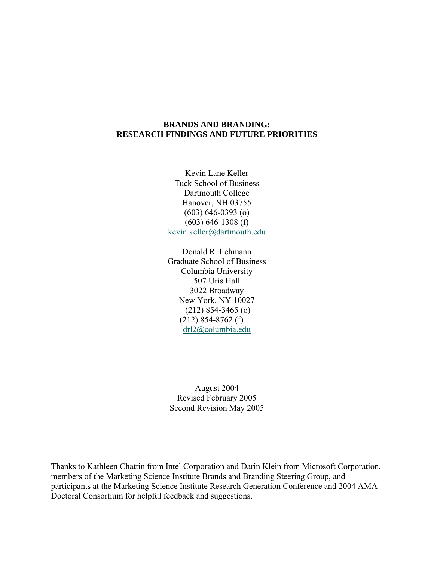# **BRANDS AND BRANDING: RESEARCH FINDINGS AND FUTURE PRIORITIES**

Kevin Lane Keller Tuck School of Business Dartmouth College Hanover, NH 03755 (603) 646-0393 (o) (603) 646-1308 (f) kevin.keller@dartmouth.edu

Donald R. Lehmann Graduate School of Business Columbia University 507 Uris Hall 3022 Broadway New York, NY 10027 (212) 854-3465 (o) (212) 854-8762 (f) drl2@columbia.edu

August 2004 Revised February 2005 Second Revision May 2005

Thanks to Kathleen Chattin from Intel Corporation and Darin Klein from Microsoft Corporation, members of the Marketing Science Institute Brands and Branding Steering Group, and participants at the Marketing Science Institute Research Generation Conference and 2004 AMA Doctoral Consortium for helpful feedback and suggestions.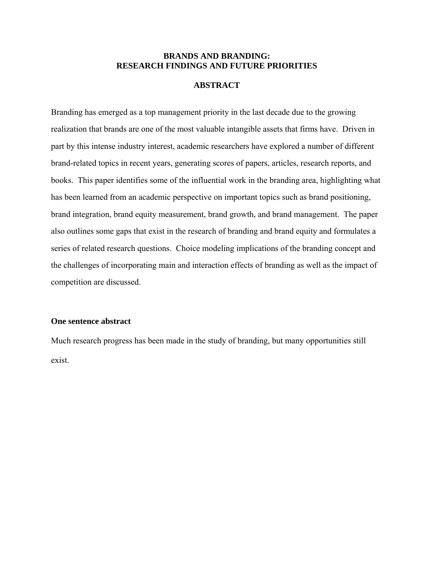## **BRANDS AND BRANDING: RESEARCH FINDINGS AND FUTURE PRIORITIES**

## **ABSTRACT**

Branding has emerged as a top management priority in the last decade due to the growing realization that brands are one of the most valuable intangible assets that firms have. Driven in part by this intense industry interest, academic researchers have explored a number of different brand-related topics in recent years, generating scores of papers, articles, research reports, and books. This paper identifies some of the influential work in the branding area, highlighting what has been learned from an academic perspective on important topics such as brand positioning, brand integration, brand equity measurement, brand growth, and brand management. The paper also outlines some gaps that exist in the research of branding and brand equity and formulates a series of related research questions. Choice modeling implications of the branding concept and the challenges of incorporating main and interaction effects of branding as well as the impact of competition are discussed.

### **One sentence abstract**

Much research progress has been made in the study of branding, but many opportunities still exist.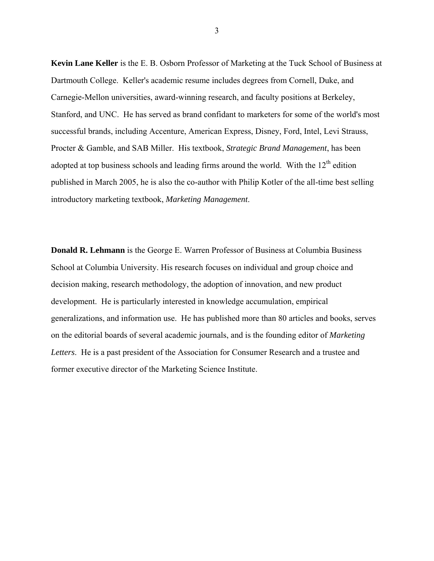**Kevin Lane Keller** is the E. B. Osborn Professor of Marketing at the Tuck School of Business at Dartmouth College. Keller's academic resume includes degrees from Cornell, Duke, and Carnegie-Mellon universities, award-winning research, and faculty positions at Berkeley, Stanford, and UNC. He has served as brand confidant to marketers for some of the world's most successful brands, including Accenture, American Express, Disney, Ford, Intel, Levi Strauss, Procter & Gamble, and SAB Miller. His textbook, *Strategic Brand Management*, has been adopted at top business schools and leading firms around the world. With the  $12<sup>th</sup>$  edition published in March 2005, he is also the co-author with Philip Kotler of the all-time best selling introductory marketing textbook, *Marketing Management*.

**Donald R. Lehmann** is the George E. Warren Professor of Business at Columbia Business School at Columbia University. His research focuses on individual and group choice and decision making, research methodology, the adoption of innovation, and new product development. He is particularly interested in knowledge accumulation, empirical generalizations, and information use. He has published more than 80 articles and books, serves on the editorial boards of several academic journals, and is the founding editor of *Marketing Letters*. He is a past president of the Association for Consumer Research and a trustee and former executive director of the Marketing Science Institute.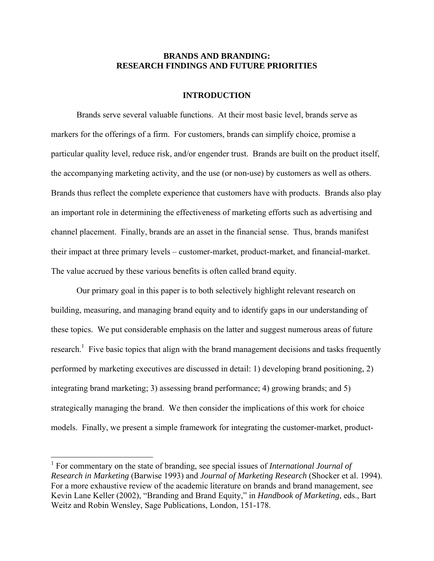# **BRANDS AND BRANDING: RESEARCH FINDINGS AND FUTURE PRIORITIES**

# **INTRODUCTION**

Brands serve several valuable functions. At their most basic level, brands serve as markers for the offerings of a firm. For customers, brands can simplify choice, promise a particular quality level, reduce risk, and/or engender trust. Brands are built on the product itself, the accompanying marketing activity, and the use (or non-use) by customers as well as others. Brands thus reflect the complete experience that customers have with products. Brands also play an important role in determining the effectiveness of marketing efforts such as advertising and channel placement. Finally, brands are an asset in the financial sense. Thus, brands manifest their impact at three primary levels – customer-market, product-market, and financial-market. The value accrued by these various benefits is often called brand equity.

Our primary goal in this paper is to both selectively highlight relevant research on building, measuring, and managing brand equity and to identify gaps in our understanding of these topics. We put considerable emphasis on the latter and suggest numerous areas of future research.<sup>1</sup> Five basic topics that align with the brand management decisions and tasks frequently performed by marketing executives are discussed in detail: 1) developing brand positioning, 2) integrating brand marketing; 3) assessing brand performance; 4) growing brands; and 5) strategically managing the brand. We then consider the implications of this work for choice models. Finally, we present a simple framework for integrating the customer-market, product-

 $\overline{a}$ 

<sup>&</sup>lt;sup>1</sup> For commentary on the state of branding, see special issues of *International Journal of Research in Marketing* (Barwise 1993) and *Journal of Marketing Research* (Shocker et al. 1994). For a more exhaustive review of the academic literature on brands and brand management, see Kevin Lane Keller (2002), "Branding and Brand Equity," in *Handbook of Marketing*, eds., Bart Weitz and Robin Wensley, Sage Publications, London, 151-178.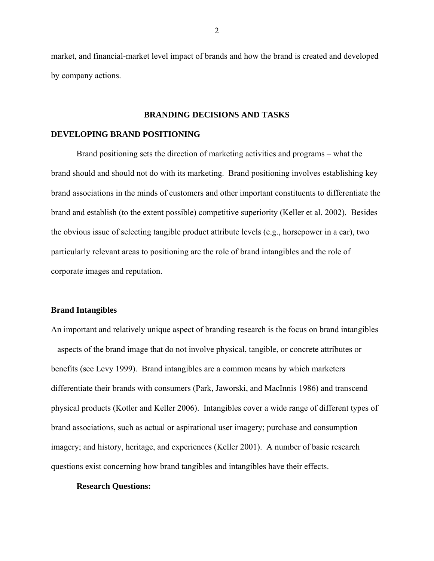market, and financial-market level impact of brands and how the brand is created and developed by company actions.

### **BRANDING DECISIONS AND TASKS**

#### **DEVELOPING BRAND POSITIONING**

Brand positioning sets the direction of marketing activities and programs – what the brand should and should not do with its marketing. Brand positioning involves establishing key brand associations in the minds of customers and other important constituents to differentiate the brand and establish (to the extent possible) competitive superiority (Keller et al. 2002). Besides the obvious issue of selecting tangible product attribute levels (e.g., horsepower in a car), two particularly relevant areas to positioning are the role of brand intangibles and the role of corporate images and reputation.

### **Brand Intangibles**

An important and relatively unique aspect of branding research is the focus on brand intangibles – aspects of the brand image that do not involve physical, tangible, or concrete attributes or benefits (see Levy 1999). Brand intangibles are a common means by which marketers differentiate their brands with consumers (Park, Jaworski, and MacInnis 1986) and transcend physical products (Kotler and Keller 2006). Intangibles cover a wide range of different types of brand associations, such as actual or aspirational user imagery; purchase and consumption imagery; and history, heritage, and experiences (Keller 2001). A number of basic research questions exist concerning how brand tangibles and intangibles have their effects.

#### **Research Questions:**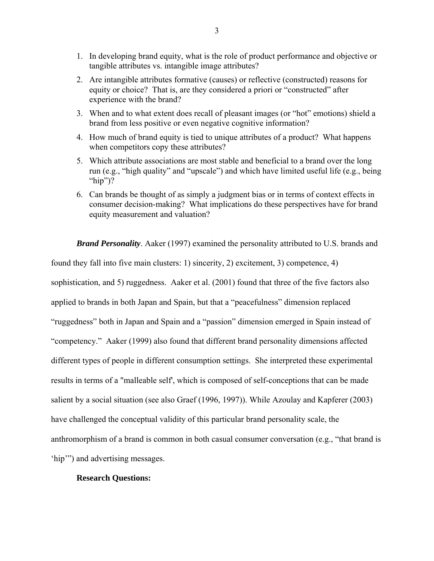- 1. In developing brand equity, what is the role of product performance and objective or tangible attributes vs. intangible image attributes?
- 2. Are intangible attributes formative (causes) or reflective (constructed) reasons for equity or choice? That is, are they considered a priori or "constructed" after experience with the brand?
- 3. When and to what extent does recall of pleasant images (or "hot" emotions) shield a brand from less positive or even negative cognitive information?
- 4. How much of brand equity is tied to unique attributes of a product? What happens when competitors copy these attributes?
- 5. Which attribute associations are most stable and beneficial to a brand over the long run (e.g., "high quality" and "upscale") and which have limited useful life (e.g., being "hip")?
- 6. Can brands be thought of as simply a judgment bias or in terms of context effects in consumer decision-making? What implications do these perspectives have for brand equity measurement and valuation?

*Brand Personality*. Aaker (1997) examined the personality attributed to U.S. brands and found they fall into five main clusters: 1) sincerity, 2) excitement, 3) competence, 4) sophistication, and 5) ruggedness. Aaker et al. (2001) found that three of the five factors also applied to brands in both Japan and Spain, but that a "peacefulness" dimension replaced "ruggedness" both in Japan and Spain and a "passion" dimension emerged in Spain instead of "competency." Aaker (1999) also found that different brand personality dimensions affected different types of people in different consumption settings. She interpreted these experimental results in terms of a "malleable self', which is composed of self-conceptions that can be made salient by a social situation (see also Graef (1996, 1997)). While Azoulay and Kapferer (2003) have challenged the conceptual validity of this particular brand personality scale, the anthromorphism of a brand is common in both casual consumer conversation (e.g., "that brand is 'hip'") and advertising messages.

### **Research Questions:**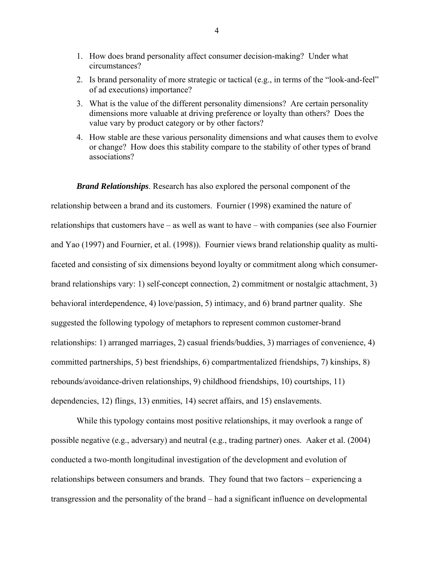- 1. How does brand personality affect consumer decision-making? Under what circumstances?
- 2. Is brand personality of more strategic or tactical (e.g., in terms of the "look-and-feel" of ad executions) importance?
- 3. What is the value of the different personality dimensions? Are certain personality dimensions more valuable at driving preference or loyalty than others? Does the value vary by product category or by other factors?
- 4. How stable are these various personality dimensions and what causes them to evolve or change? How does this stability compare to the stability of other types of brand associations?

*Brand Relationships*. Research has also explored the personal component of the relationship between a brand and its customers. Fournier (1998) examined the nature of relationships that customers have – as well as want to have – with companies (see also Fournier and Yao (1997) and Fournier, et al. (1998)). Fournier views brand relationship quality as multifaceted and consisting of six dimensions beyond loyalty or commitment along which consumerbrand relationships vary: 1) self-concept connection, 2) commitment or nostalgic attachment, 3) behavioral interdependence, 4) love/passion, 5) intimacy, and 6) brand partner quality. She suggested the following typology of metaphors to represent common customer-brand relationships: 1) arranged marriages, 2) casual friends/buddies, 3) marriages of convenience, 4) committed partnerships, 5) best friendships, 6) compartmentalized friendships, 7) kinships, 8) rebounds/avoidance-driven relationships, 9) childhood friendships, 10) courtships, 11) dependencies, 12) flings, 13) enmities, 14) secret affairs, and 15) enslavements.

While this typology contains most positive relationships, it may overlook a range of possible negative (e.g., adversary) and neutral (e.g., trading partner) ones. Aaker et al. (2004) conducted a two-month longitudinal investigation of the development and evolution of relationships between consumers and brands. They found that two factors – experiencing a transgression and the personality of the brand – had a significant influence on developmental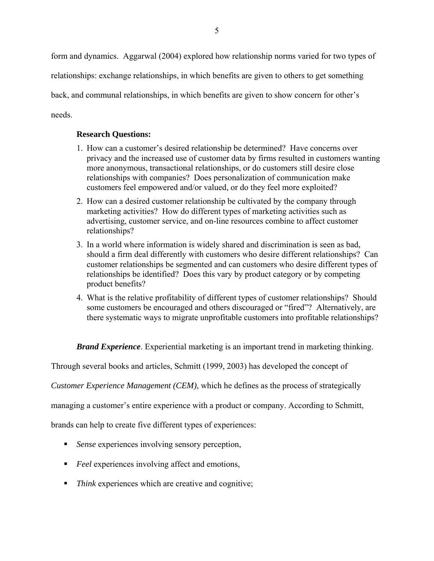form and dynamics. Aggarwal (2004) explored how relationship norms varied for two types of relationships: exchange relationships, in which benefits are given to others to get something back, and communal relationships, in which benefits are given to show concern for other's needs.

# **Research Questions:**

- 1. How can a customer's desired relationship be determined? Have concerns over privacy and the increased use of customer data by firms resulted in customers wanting more anonymous, transactional relationships, or do customers still desire close relationships with companies? Does personalization of communication make customers feel empowered and/or valued, or do they feel more exploited?
- 2. How can a desired customer relationship be cultivated by the company through marketing activities? How do different types of marketing activities such as advertising, customer service, and on-line resources combine to affect customer relationships?
- 3. In a world where information is widely shared and discrimination is seen as bad, should a firm deal differently with customers who desire different relationships? Can customer relationships be segmented and can customers who desire different types of relationships be identified? Does this vary by product category or by competing product benefits?
- 4. What is the relative profitability of different types of customer relationships? Should some customers be encouraged and others discouraged or "fired"? Alternatively, are there systematic ways to migrate unprofitable customers into profitable relationships?

*Brand Experience*. Experiential marketing is an important trend in marketing thinking.

Through several books and articles, Schmitt (1999, 2003) has developed the concept of

*Customer Experience Management (CEM)*, which he defines as the process of strategically

managing a customer's entire experience with a product or company. According to Schmitt,

brands can help to create five different types of experiences:

- *Sense* experiences involving sensory perception,
- *Feel* experiences involving affect and emotions,
- *Think* experiences which are creative and cognitive;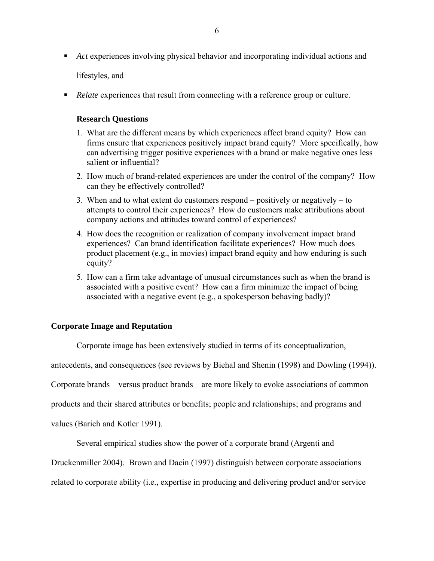Act experiences involving physical behavior and incorporating individual actions and

lifestyles, and

*Relate* experiences that result from connecting with a reference group or culture.

### **Research Questions**

- 1. What are the different means by which experiences affect brand equity? How can firms ensure that experiences positively impact brand equity? More specifically, how can advertising trigger positive experiences with a brand or make negative ones less salient or influential?
- 2. How much of brand-related experiences are under the control of the company? How can they be effectively controlled?
- 3. When and to what extent do customers respond positively or negatively to attempts to control their experiences? How do customers make attributions about company actions and attitudes toward control of experiences?
- 4. How does the recognition or realization of company involvement impact brand experiences? Can brand identification facilitate experiences? How much does product placement (e.g., in movies) impact brand equity and how enduring is such equity?
- 5. How can a firm take advantage of unusual circumstances such as when the brand is associated with a positive event? How can a firm minimize the impact of being associated with a negative event (e.g., a spokesperson behaving badly)?

## **Corporate Image and Reputation**

Corporate image has been extensively studied in terms of its conceptualization,

antecedents, and consequences (see reviews by Biehal and Shenin (1998) and Dowling (1994)).

Corporate brands – versus product brands – are more likely to evoke associations of common

products and their shared attributes or benefits; people and relationships; and programs and

values (Barich and Kotler 1991).

Several empirical studies show the power of a corporate brand (Argenti and

Druckenmiller 2004). Brown and Dacin (1997) distinguish between corporate associations

related to corporate ability (i.e., expertise in producing and delivering product and/or service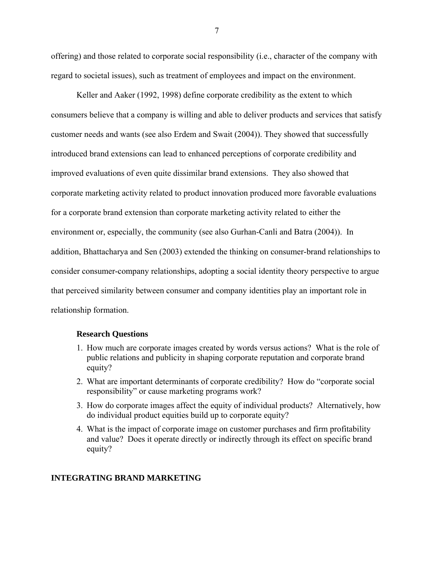offering) and those related to corporate social responsibility (i.e., character of the company with regard to societal issues), such as treatment of employees and impact on the environment.

Keller and Aaker (1992, 1998) define corporate credibility as the extent to which consumers believe that a company is willing and able to deliver products and services that satisfy customer needs and wants (see also Erdem and Swait (2004)). They showed that successfully introduced brand extensions can lead to enhanced perceptions of corporate credibility and improved evaluations of even quite dissimilar brand extensions. They also showed that corporate marketing activity related to product innovation produced more favorable evaluations for a corporate brand extension than corporate marketing activity related to either the environment or, especially, the community (see also Gurhan-Canli and Batra (2004)). In addition, Bhattacharya and Sen (2003) extended the thinking on consumer-brand relationships to consider consumer-company relationships, adopting a social identity theory perspective to argue that perceived similarity between consumer and company identities play an important role in relationship formation.

#### **Research Questions**

- 1. How much are corporate images created by words versus actions? What is the role of public relations and publicity in shaping corporate reputation and corporate brand equity?
- 2. What are important determinants of corporate credibility? How do "corporate social responsibility" or cause marketing programs work?
- 3. How do corporate images affect the equity of individual products? Alternatively, how do individual product equities build up to corporate equity?
- 4. What is the impact of corporate image on customer purchases and firm profitability and value? Does it operate directly or indirectly through its effect on specific brand equity?

### **INTEGRATING BRAND MARKETING**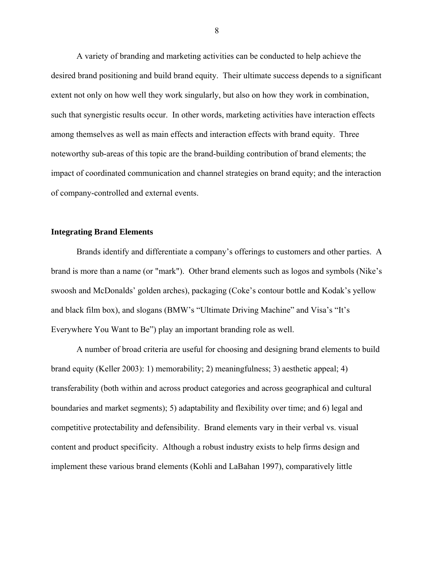A variety of branding and marketing activities can be conducted to help achieve the desired brand positioning and build brand equity. Their ultimate success depends to a significant extent not only on how well they work singularly, but also on how they work in combination, such that synergistic results occur. In other words, marketing activities have interaction effects among themselves as well as main effects and interaction effects with brand equity. Three noteworthy sub-areas of this topic are the brand-building contribution of brand elements; the impact of coordinated communication and channel strategies on brand equity; and the interaction of company-controlled and external events.

### **Integrating Brand Elements**

 Brands identify and differentiate a company's offerings to customers and other parties. A brand is more than a name (or "mark"). Other brand elements such as logos and symbols (Nike's swoosh and McDonalds' golden arches), packaging (Coke's contour bottle and Kodak's yellow and black film box), and slogans (BMW's "Ultimate Driving Machine" and Visa's "It's Everywhere You Want to Be") play an important branding role as well.

A number of broad criteria are useful for choosing and designing brand elements to build brand equity (Keller 2003): 1) memorability; 2) meaningfulness; 3) aesthetic appeal; 4) transferability (both within and across product categories and across geographical and cultural boundaries and market segments); 5) adaptability and flexibility over time; and 6) legal and competitive protectability and defensibility. Brand elements vary in their verbal vs. visual content and product specificity. Although a robust industry exists to help firms design and implement these various brand elements (Kohli and LaBahan 1997), comparatively little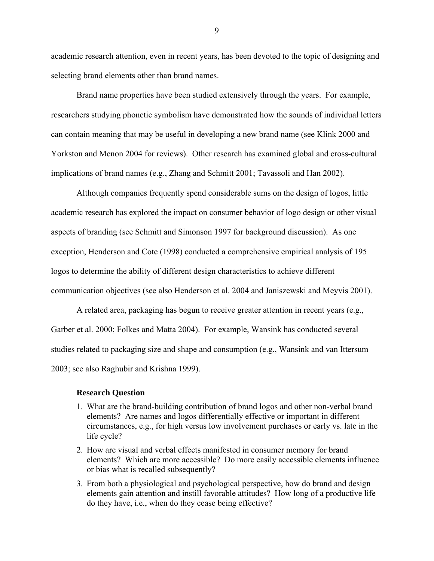academic research attention, even in recent years, has been devoted to the topic of designing and selecting brand elements other than brand names.

Brand name properties have been studied extensively through the years. For example, researchers studying phonetic symbolism have demonstrated how the sounds of individual letters can contain meaning that may be useful in developing a new brand name (see Klink 2000 and Yorkston and Menon 2004 for reviews). Other research has examined global and cross-cultural implications of brand names (e.g., Zhang and Schmitt 2001; Tavassoli and Han 2002).

Although companies frequently spend considerable sums on the design of logos, little academic research has explored the impact on consumer behavior of logo design or other visual aspects of branding (see Schmitt and Simonson 1997 for background discussion). As one exception, Henderson and Cote (1998) conducted a comprehensive empirical analysis of 195 logos to determine the ability of different design characteristics to achieve different communication objectives (see also Henderson et al. 2004 and Janiszewski and Meyvis 2001).

A related area, packaging has begun to receive greater attention in recent years (e.g., Garber et al. 2000; Folkes and Matta 2004). For example, Wansink has conducted several studies related to packaging size and shape and consumption (e.g., Wansink and van Ittersum 2003; see also Raghubir and Krishna 1999).

#### **Research Question**

- 1. What are the brand-building contribution of brand logos and other non-verbal brand elements? Are names and logos differentially effective or important in different circumstances, e.g., for high versus low involvement purchases or early vs. late in the life cycle?
- 2. How are visual and verbal effects manifested in consumer memory for brand elements? Which are more accessible? Do more easily accessible elements influence or bias what is recalled subsequently?
- 3. From both a physiological and psychological perspective, how do brand and design elements gain attention and instill favorable attitudes? How long of a productive life do they have, i.e., when do they cease being effective?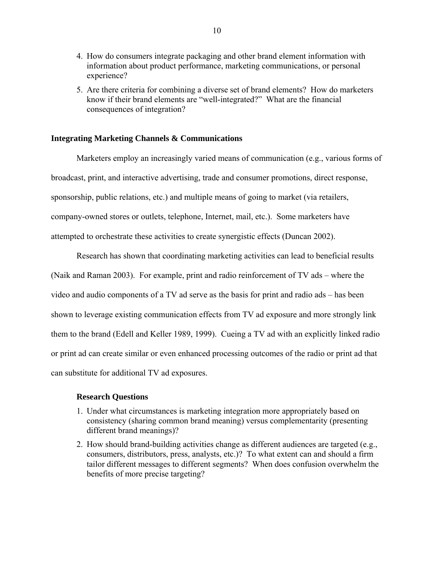- 4. How do consumers integrate packaging and other brand element information with information about product performance, marketing communications, or personal experience?
- 5. Are there criteria for combining a diverse set of brand elements? How do marketers know if their brand elements are "well-integrated?" What are the financial consequences of integration?

### **Integrating Marketing Channels & Communications**

 Marketers employ an increasingly varied means of communication (e.g., various forms of broadcast, print, and interactive advertising, trade and consumer promotions, direct response, sponsorship, public relations, etc.) and multiple means of going to market (via retailers, company-owned stores or outlets, telephone, Internet, mail, etc.). Some marketers have attempted to orchestrate these activities to create synergistic effects (Duncan 2002).

Research has shown that coordinating marketing activities can lead to beneficial results (Naik and Raman 2003). For example, print and radio reinforcement of TV ads – where the video and audio components of a TV ad serve as the basis for print and radio ads – has been shown to leverage existing communication effects from TV ad exposure and more strongly link them to the brand (Edell and Keller 1989, 1999). Cueing a TV ad with an explicitly linked radio or print ad can create similar or even enhanced processing outcomes of the radio or print ad that can substitute for additional TV ad exposures.

#### **Research Questions**

- 1. Under what circumstances is marketing integration more appropriately based on consistency (sharing common brand meaning) versus complementarity (presenting different brand meanings)?
- 2. How should brand-building activities change as different audiences are targeted (e.g., consumers, distributors, press, analysts, etc.)? To what extent can and should a firm tailor different messages to different segments? When does confusion overwhelm the benefits of more precise targeting?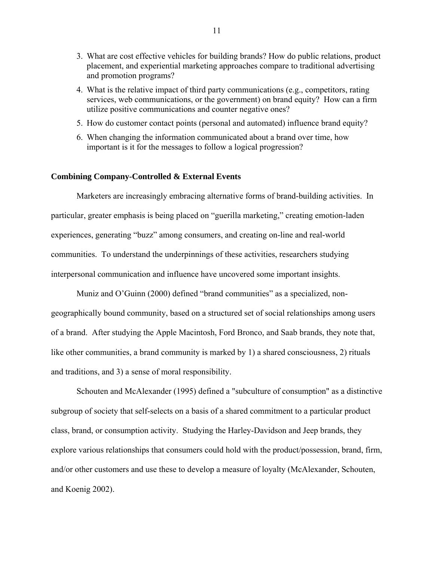- 3. What are cost effective vehicles for building brands? How do public relations, product placement, and experiential marketing approaches compare to traditional advertising and promotion programs?
- 4. What is the relative impact of third party communications (e.g., competitors, rating services, web communications, or the government) on brand equity? How can a firm utilize positive communications and counter negative ones?
- 5. How do customer contact points (personal and automated) influence brand equity?
- 6. When changing the information communicated about a brand over time, how important is it for the messages to follow a logical progression?

#### **Combining Company-Controlled & External Events**

 Marketers are increasingly embracing alternative forms of brand-building activities. In particular, greater emphasis is being placed on "guerilla marketing," creating emotion-laden experiences, generating "buzz" among consumers, and creating on-line and real-world communities. To understand the underpinnings of these activities, researchers studying interpersonal communication and influence have uncovered some important insights.

Muniz and O'Guinn (2000) defined "brand communities" as a specialized, nongeographically bound community, based on a structured set of social relationships among users of a brand. After studying the Apple Macintosh, Ford Bronco, and Saab brands, they note that, like other communities, a brand community is marked by 1) a shared consciousness, 2) rituals and traditions, and 3) a sense of moral responsibility.

Schouten and McAlexander (1995) defined a "subculture of consumption" as a distinctive subgroup of society that self-selects on a basis of a shared commitment to a particular product class, brand, or consumption activity. Studying the Harley-Davidson and Jeep brands, they explore various relationships that consumers could hold with the product/possession, brand, firm, and/or other customers and use these to develop a measure of loyalty (McAlexander, Schouten, and Koenig 2002).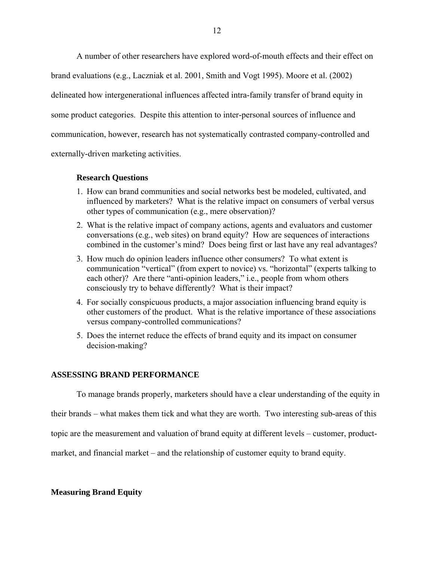A number of other researchers have explored word-of-mouth effects and their effect on brand evaluations (e.g., Laczniak et al. 2001, Smith and Vogt 1995). Moore et al. (2002) delineated how intergenerational influences affected intra-family transfer of brand equity in some product categories. Despite this attention to inter-personal sources of influence and communication, however, research has not systematically contrasted company-controlled and externally-driven marketing activities.

# **Research Questions**

- 1. How can brand communities and social networks best be modeled, cultivated, and influenced by marketers? What is the relative impact on consumers of verbal versus other types of communication (e.g., mere observation)?
- 2. What is the relative impact of company actions, agents and evaluators and customer conversations (e.g., web sites) on brand equity? How are sequences of interactions combined in the customer's mind? Does being first or last have any real advantages?
- 3. How much do opinion leaders influence other consumers? To what extent is communication "vertical" (from expert to novice) vs. "horizontal" (experts talking to each other)? Are there "anti-opinion leaders," i.e., people from whom others consciously try to behave differently? What is their impact?
- 4. For socially conspicuous products, a major association influencing brand equity is other customers of the product. What is the relative importance of these associations versus company-controlled communications?
- 5. Does the internet reduce the effects of brand equity and its impact on consumer decision-making?

# **ASSESSING BRAND PERFORMANCE**

To manage brands properly, marketers should have a clear understanding of the equity in

their brands – what makes them tick and what they are worth. Two interesting sub-areas of this

topic are the measurement and valuation of brand equity at different levels – customer, product-

market, and financial market – and the relationship of customer equity to brand equity.

# **Measuring Brand Equity**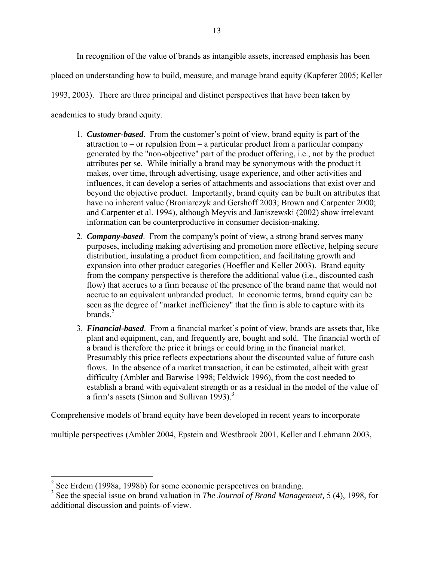In recognition of the value of brands as intangible assets, increased emphasis has been

placed on understanding how to build, measure, and manage brand equity (Kapferer 2005; Keller

1993, 2003). There are three principal and distinct perspectives that have been taken by

academics to study brand equity.

- 1. *Customer-based*. From the customer's point of view, brand equity is part of the attraction to  $-$  or repulsion from  $-$  a particular product from a particular company generated by the "non-objective" part of the product offering, i.e., not by the product attributes per se. While initially a brand may be synonymous with the product it makes, over time, through advertising, usage experience, and other activities and influences, it can develop a series of attachments and associations that exist over and beyond the objective product. Importantly, brand equity can be built on attributes that have no inherent value (Broniarczyk and Gershoff 2003; Brown and Carpenter 2000; and Carpenter et al. 1994), although Meyvis and Janiszewski (2002) show irrelevant information can be counterproductive in consumer decision-making.
- 2. *Company-based*. From the company's point of view, a strong brand serves many purposes, including making advertising and promotion more effective, helping secure distribution, insulating a product from competition, and facilitating growth and expansion into other product categories (Hoeffler and Keller 2003). Brand equity from the company perspective is therefore the additional value (i.e., discounted cash flow) that accrues to a firm because of the presence of the brand name that would not accrue to an equivalent unbranded product. In economic terms, brand equity can be seen as the degree of "market inefficiency" that the firm is able to capture with its brands. $^{2}$
- 3. *Financial-based*. From a financial market's point of view, brands are assets that, like plant and equipment, can, and frequently are, bought and sold. The financial worth of a brand is therefore the price it brings or could bring in the financial market. Presumably this price reflects expectations about the discounted value of future cash flows. In the absence of a market transaction, it can be estimated, albeit with great difficulty (Ambler and Barwise 1998; Feldwick 1996), from the cost needed to establish a brand with equivalent strength or as a residual in the model of the value of a firm's assets (Simon and Sullivan 1993).<sup>3</sup>

Comprehensive models of brand equity have been developed in recent years to incorporate

multiple perspectives (Ambler 2004, Epstein and Westbrook 2001, Keller and Lehmann 2003,

<sup>&</sup>lt;sup>2</sup> See Erdem (1998a, 1998b) for some economic perspectives on branding.

<sup>3</sup> See the special issue on brand valuation in *The Journal of Brand Management,* 5 (4), 1998, for additional discussion and points-of-view.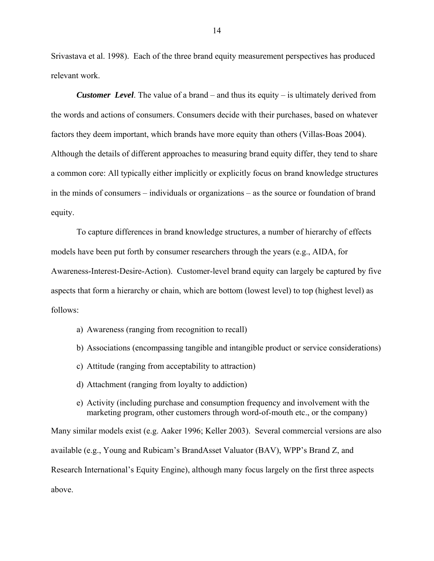Srivastava et al. 1998). Each of the three brand equity measurement perspectives has produced relevant work.

*Customer Level*. The value of a brand – and thus its equity – is ultimately derived from the words and actions of consumers. Consumers decide with their purchases, based on whatever factors they deem important, which brands have more equity than others (Villas-Boas 2004). Although the details of different approaches to measuring brand equity differ, they tend to share a common core: All typically either implicitly or explicitly focus on brand knowledge structures in the minds of consumers – individuals or organizations – as the source or foundation of brand equity.

To capture differences in brand knowledge structures, a number of hierarchy of effects models have been put forth by consumer researchers through the years (e.g., AIDA, for Awareness-Interest-Desire-Action). Customer-level brand equity can largely be captured by five aspects that form a hierarchy or chain, which are bottom (lowest level) to top (highest level) as follows:

- a) Awareness (ranging from recognition to recall)
- b) Associations (encompassing tangible and intangible product or service considerations)
- c) Attitude (ranging from acceptability to attraction)
- d) Attachment (ranging from loyalty to addiction)
- e) Activity (including purchase and consumption frequency and involvement with the marketing program, other customers through word-of-mouth etc., or the company)

Many similar models exist (e.g. Aaker 1996; Keller 2003). Several commercial versions are also available (e.g., Young and Rubicam's BrandAsset Valuator (BAV), WPP's Brand Z, and Research International's Equity Engine), although many focus largely on the first three aspects above.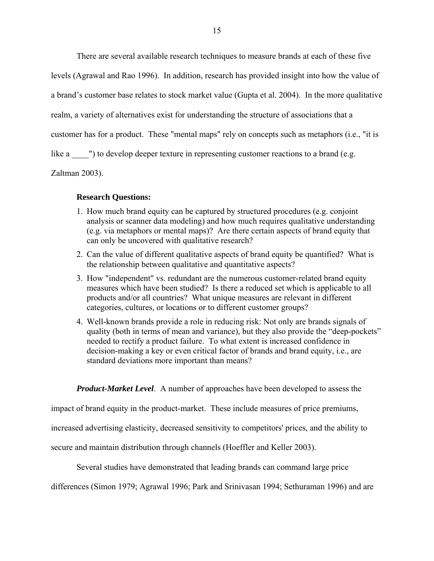There are several available research techniques to measure brands at each of these five

levels (Agrawal and Rao 1996). In addition, research has provided insight into how the value of

a brand's customer base relates to stock market value (Gupta et al. 2004). In the more qualitative

realm, a variety of alternatives exist for understanding the structure of associations that a

customer has for a product. These "mental maps" rely on concepts such as metaphors (i.e., "it is

like a  $\blacksquare$ ) to develop deeper texture in representing customer reactions to a brand (e.g.

Zaltman 2003).

# **Research Questions:**

- 1. How much brand equity can be captured by structured procedures (e.g. conjoint analysis or scanner data modeling) and how much requires qualitative understanding (e.g. via metaphors or mental maps)? Are there certain aspects of brand equity that can only be uncovered with qualitative research?
- 2. Can the value of different qualitative aspects of brand equity be quantified? What is the relationship between qualitative and quantitative aspects?
- 3. How "independent" vs. redundant are the numerous customer-related brand equity measures which have been studied? Is there a reduced set which is applicable to all products and/or all countries? What unique measures are relevant in different categories, cultures, or locations or to different customer groups?
- 4. Well-known brands provide a role in reducing risk: Not only are brands signals of quality (both in terms of mean and variance), but they also provide the "deep-pockets" needed to rectify a product failure. To what extent is increased confidence in decision-making a key or even critical factor of brands and brand equity, i.e., are standard deviations more important than means?

*Product-Market Level*. A number of approaches have been developed to assess the

impact of brand equity in the product-market. These include measures of price premiums,

increased advertising elasticity, decreased sensitivity to competitors' prices, and the ability to

secure and maintain distribution through channels (Hoeffler and Keller 2003).

Several studies have demonstrated that leading brands can command large price

differences (Simon 1979; Agrawal 1996; Park and Srinivasan 1994; Sethuraman 1996) and are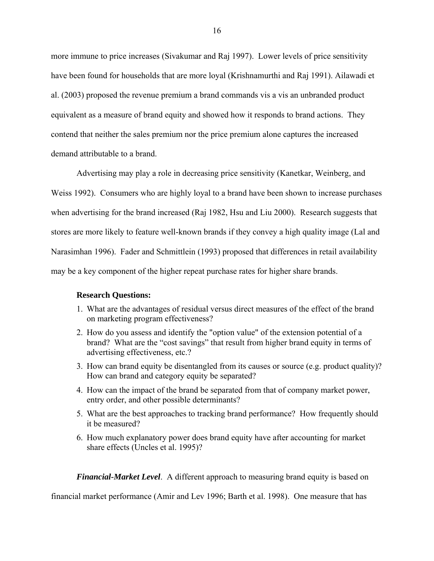more immune to price increases (Sivakumar and Raj 1997). Lower levels of price sensitivity have been found for households that are more loyal (Krishnamurthi and Raj 1991). Ailawadi et al. (2003) proposed the revenue premium a brand commands vis a vis an unbranded product equivalent as a measure of brand equity and showed how it responds to brand actions. They contend that neither the sales premium nor the price premium alone captures the increased demand attributable to a brand.

Advertising may play a role in decreasing price sensitivity (Kanetkar, Weinberg, and Weiss 1992). Consumers who are highly loyal to a brand have been shown to increase purchases when advertising for the brand increased (Raj 1982, Hsu and Liu 2000). Research suggests that stores are more likely to feature well-known brands if they convey a high quality image (Lal and Narasimhan 1996). Fader and Schmittlein (1993) proposed that differences in retail availability may be a key component of the higher repeat purchase rates for higher share brands.

### **Research Questions:**

- 1. What are the advantages of residual versus direct measures of the effect of the brand on marketing program effectiveness?
- 2. How do you assess and identify the "option value" of the extension potential of a brand? What are the "cost savings" that result from higher brand equity in terms of advertising effectiveness, etc.?
- 3. How can brand equity be disentangled from its causes or source (e.g. product quality)? How can brand and category equity be separated?
- 4. How can the impact of the brand be separated from that of company market power, entry order, and other possible determinants?
- 5. What are the best approaches to tracking brand performance? How frequently should it be measured?
- 6. How much explanatory power does brand equity have after accounting for market share effects (Uncles et al. 1995)?

*Financial-Market Level*. A different approach to measuring brand equity is based on

financial market performance (Amir and Lev 1996; Barth et al. 1998). One measure that has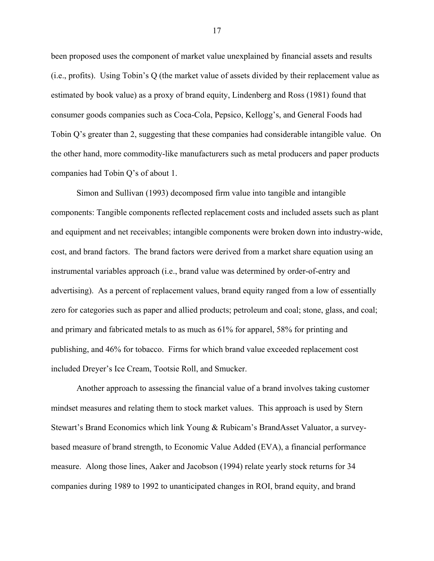been proposed uses the component of market value unexplained by financial assets and results (i.e., profits). Using Tobin's Q (the market value of assets divided by their replacement value as estimated by book value) as a proxy of brand equity, Lindenberg and Ross (1981) found that consumer goods companies such as Coca-Cola, Pepsico, Kellogg's, and General Foods had Tobin Q's greater than 2, suggesting that these companies had considerable intangible value. On the other hand, more commodity-like manufacturers such as metal producers and paper products companies had Tobin Q's of about 1.

Simon and Sullivan (1993) decomposed firm value into tangible and intangible components: Tangible components reflected replacement costs and included assets such as plant and equipment and net receivables; intangible components were broken down into industry-wide, cost, and brand factors. The brand factors were derived from a market share equation using an instrumental variables approach (i.e., brand value was determined by order-of-entry and advertising). As a percent of replacement values, brand equity ranged from a low of essentially zero for categories such as paper and allied products; petroleum and coal; stone, glass, and coal; and primary and fabricated metals to as much as 61% for apparel, 58% for printing and publishing, and 46% for tobacco. Firms for which brand value exceeded replacement cost included Dreyer's Ice Cream, Tootsie Roll, and Smucker.

Another approach to assessing the financial value of a brand involves taking customer mindset measures and relating them to stock market values. This approach is used by Stern Stewart's Brand Economics which link Young & Rubicam's BrandAsset Valuator, a surveybased measure of brand strength, to Economic Value Added (EVA), a financial performance measure. Along those lines, Aaker and Jacobson (1994) relate yearly stock returns for 34 companies during 1989 to 1992 to unanticipated changes in ROI, brand equity, and brand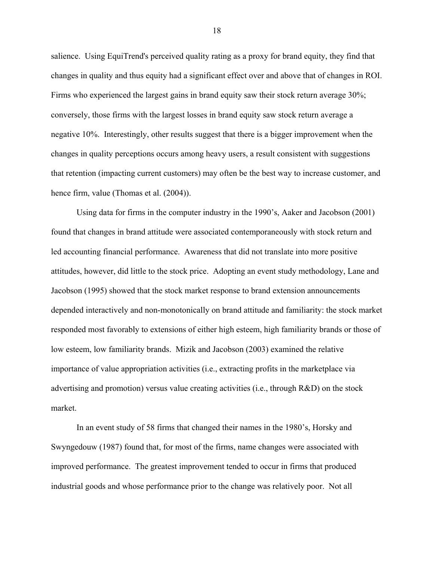salience. Using EquiTrend's perceived quality rating as a proxy for brand equity, they find that changes in quality and thus equity had a significant effect over and above that of changes in ROI. Firms who experienced the largest gains in brand equity saw their stock return average 30%; conversely, those firms with the largest losses in brand equity saw stock return average a negative 10%. Interestingly, other results suggest that there is a bigger improvement when the changes in quality perceptions occurs among heavy users, a result consistent with suggestions that retention (impacting current customers) may often be the best way to increase customer, and hence firm, value (Thomas et al.  $(2004)$ ).

Using data for firms in the computer industry in the 1990's, Aaker and Jacobson (2001) found that changes in brand attitude were associated contemporaneously with stock return and led accounting financial performance. Awareness that did not translate into more positive attitudes, however, did little to the stock price. Adopting an event study methodology, Lane and Jacobson (1995) showed that the stock market response to brand extension announcements depended interactively and non-monotonically on brand attitude and familiarity: the stock market responded most favorably to extensions of either high esteem, high familiarity brands or those of low esteem, low familiarity brands. Mizik and Jacobson (2003) examined the relative importance of value appropriation activities (i.e., extracting profits in the marketplace via advertising and promotion) versus value creating activities (i.e., through R&D) on the stock market.

In an event study of 58 firms that changed their names in the 1980's, Horsky and Swyngedouw (1987) found that, for most of the firms, name changes were associated with improved performance. The greatest improvement tended to occur in firms that produced industrial goods and whose performance prior to the change was relatively poor. Not all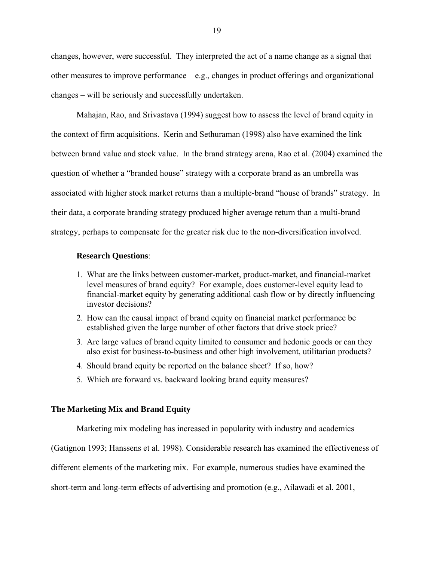changes, however, were successful. They interpreted the act of a name change as a signal that other measures to improve performance – e.g., changes in product offerings and organizational changes – will be seriously and successfully undertaken.

Mahajan, Rao, and Srivastava (1994) suggest how to assess the level of brand equity in the context of firm acquisitions. Kerin and Sethuraman (1998) also have examined the link between brand value and stock value. In the brand strategy arena, Rao et al. (2004) examined the question of whether a "branded house" strategy with a corporate brand as an umbrella was associated with higher stock market returns than a multiple-brand "house of brands" strategy. In their data, a corporate branding strategy produced higher average return than a multi-brand strategy, perhaps to compensate for the greater risk due to the non-diversification involved.

#### **Research Questions**:

- 1. What are the links between customer-market, product-market, and financial-market level measures of brand equity? For example, does customer-level equity lead to financial-market equity by generating additional cash flow or by directly influencing investor decisions?
- 2. How can the causal impact of brand equity on financial market performance be established given the large number of other factors that drive stock price?
- 3. Are large values of brand equity limited to consumer and hedonic goods or can they also exist for business-to-business and other high involvement, utilitarian products?
- 4. Should brand equity be reported on the balance sheet? If so, how?
- 5. Which are forward vs. backward looking brand equity measures?

# **The Marketing Mix and Brand Equity**

Marketing mix modeling has increased in popularity with industry and academics

(Gatignon 1993; Hanssens et al. 1998). Considerable research has examined the effectiveness of

different elements of the marketing mix. For example, numerous studies have examined the

short-term and long-term effects of advertising and promotion (e.g., Ailawadi et al. 2001,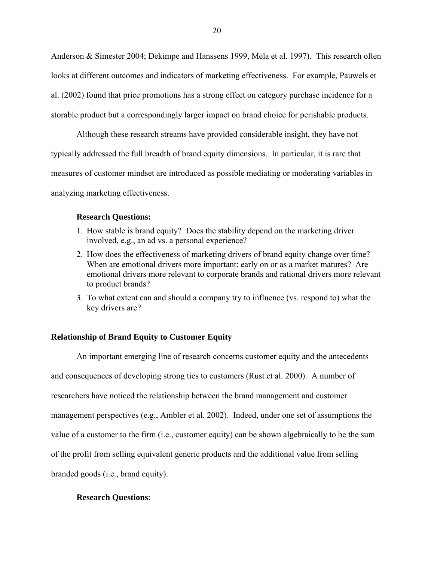Anderson & Simester 2004; Dekimpe and Hanssens 1999, Mela et al. 1997). This research often looks at different outcomes and indicators of marketing effectiveness. For example, Pauwels et al. (2002) found that price promotions has a strong effect on category purchase incidence for a storable product but a correspondingly larger impact on brand choice for perishable products.

Although these research streams have provided considerable insight, they have not typically addressed the full breadth of brand equity dimensions. In particular, it is rare that measures of customer mindset are introduced as possible mediating or moderating variables in analyzing marketing effectiveness.

#### **Research Questions:**

- 1. How stable is brand equity? Does the stability depend on the marketing driver involved, e.g., an ad vs. a personal experience?
- 2. How does the effectiveness of marketing drivers of brand equity change over time? When are emotional drivers more important: early on or as a market matures? Are emotional drivers more relevant to corporate brands and rational drivers more relevant to product brands?
- 3. To what extent can and should a company try to influence (vs. respond to) what the key drivers are?

# **Relationship of Brand Equity to Customer Equity**

 An important emerging line of research concerns customer equity and the antecedents and consequences of developing strong ties to customers (Rust et al. 2000). A number of researchers have noticed the relationship between the brand management and customer management perspectives (e.g., Ambler et al. 2002). Indeed, under one set of assumptions the value of a customer to the firm (i.e., customer equity) can be shown algebraically to be the sum of the profit from selling equivalent generic products and the additional value from selling branded goods (i.e., brand equity).

# **Research Questions**: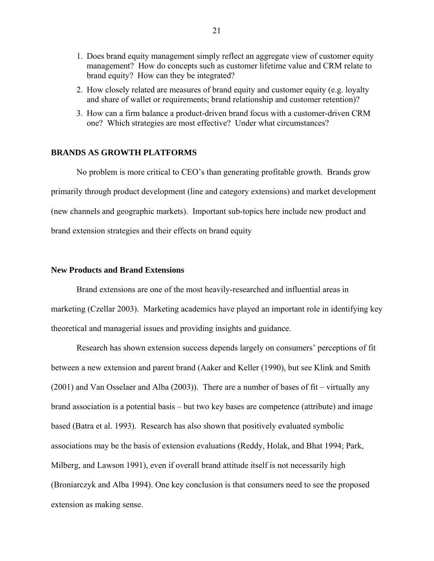- 1. Does brand equity management simply reflect an aggregate view of customer equity management? How do concepts such as customer lifetime value and CRM relate to brand equity? How can they be integrated?
- 2. How closely related are measures of brand equity and customer equity (e.g. loyalty and share of wallet or requirements; brand relationship and customer retention)?
- 3. How can a firm balance a product-driven brand focus with a customer-driven CRM one? Which strategies are most effective? Under what circumstances?

## **BRANDS AS GROWTH PLATFORMS**

No problem is more critical to CEO's than generating profitable growth. Brands grow primarily through product development (line and category extensions) and market development (new channels and geographic markets). Important sub-topics here include new product and brand extension strategies and their effects on brand equity

## **New Products and Brand Extensions**

 Brand extensions are one of the most heavily-researched and influential areas in marketing (Czellar 2003). Marketing academics have played an important role in identifying key theoretical and managerial issues and providing insights and guidance.

 Research has shown extension success depends largely on consumers' perceptions of fit between a new extension and parent brand (Aaker and Keller (1990), but see Klink and Smith (2001) and Van Osselaer and Alba (2003)). There are a number of bases of fit – virtually any brand association is a potential basis – but two key bases are competence (attribute) and image based (Batra et al. 1993). Research has also shown that positively evaluated symbolic associations may be the basis of extension evaluations (Reddy, Holak, and Bhat 1994; Park, Milberg, and Lawson 1991), even if overall brand attitude itself is not necessarily high (Broniarczyk and Alba 1994). One key conclusion is that consumers need to see the proposed extension as making sense.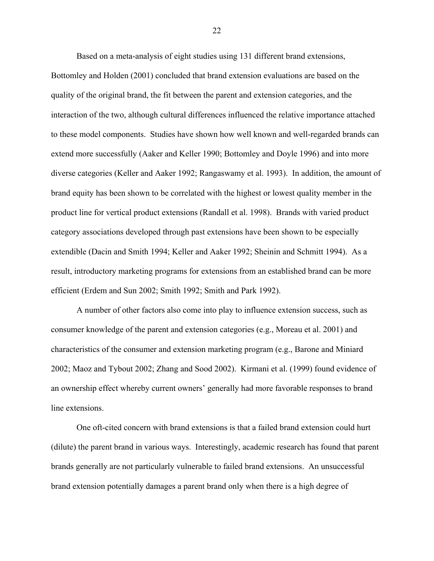Based on a meta-analysis of eight studies using 131 different brand extensions, Bottomley and Holden (2001) concluded that brand extension evaluations are based on the quality of the original brand, the fit between the parent and extension categories, and the interaction of the two, although cultural differences influenced the relative importance attached to these model components. Studies have shown how well known and well-regarded brands can extend more successfully (Aaker and Keller 1990; Bottomley and Doyle 1996) and into more diverse categories (Keller and Aaker 1992; Rangaswamy et al. 1993). In addition, the amount of brand equity has been shown to be correlated with the highest or lowest quality member in the product line for vertical product extensions (Randall et al. 1998). Brands with varied product category associations developed through past extensions have been shown to be especially extendible (Dacin and Smith 1994; Keller and Aaker 1992; Sheinin and Schmitt 1994). As a result, introductory marketing programs for extensions from an established brand can be more efficient (Erdem and Sun 2002; Smith 1992; Smith and Park 1992).

 A number of other factors also come into play to influence extension success, such as consumer knowledge of the parent and extension categories (e.g., Moreau et al. 2001) and characteristics of the consumer and extension marketing program (e.g., Barone and Miniard 2002; Maoz and Tybout 2002; Zhang and Sood 2002). Kirmani et al. (1999) found evidence of an ownership effect whereby current owners' generally had more favorable responses to brand line extensions.

One oft-cited concern with brand extensions is that a failed brand extension could hurt (dilute) the parent brand in various ways. Interestingly, academic research has found that parent brands generally are not particularly vulnerable to failed brand extensions. An unsuccessful brand extension potentially damages a parent brand only when there is a high degree of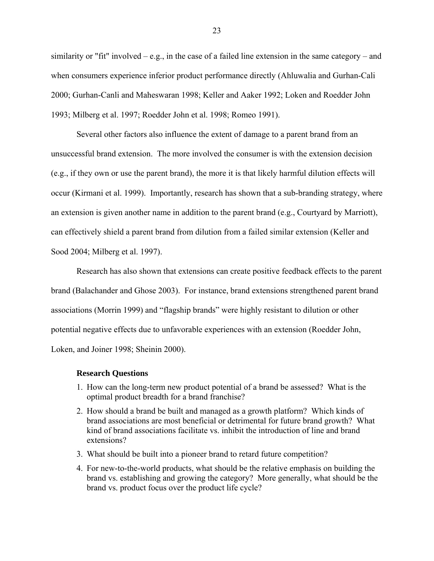similarity or "fit" involved – e.g., in the case of a failed line extension in the same category – and when consumers experience inferior product performance directly (Ahluwalia and Gurhan-Cali 2000; Gurhan-Canli and Maheswaran 1998; Keller and Aaker 1992; Loken and Roedder John 1993; Milberg et al. 1997; Roedder John et al. 1998; Romeo 1991).

Several other factors also influence the extent of damage to a parent brand from an unsuccessful brand extension. The more involved the consumer is with the extension decision (e.g., if they own or use the parent brand), the more it is that likely harmful dilution effects will occur (Kirmani et al. 1999). Importantly, research has shown that a sub-branding strategy, where an extension is given another name in addition to the parent brand (e.g., Courtyard by Marriott), can effectively shield a parent brand from dilution from a failed similar extension (Keller and Sood 2004; Milberg et al. 1997).

Research has also shown that extensions can create positive feedback effects to the parent brand (Balachander and Ghose 2003). For instance, brand extensions strengthened parent brand associations (Morrin 1999) and "flagship brands" were highly resistant to dilution or other potential negative effects due to unfavorable experiences with an extension (Roedder John, Loken, and Joiner 1998; Sheinin 2000).

#### **Research Questions**

- 1. How can the long-term new product potential of a brand be assessed? What is the optimal product breadth for a brand franchise?
- 2. How should a brand be built and managed as a growth platform? Which kinds of brand associations are most beneficial or detrimental for future brand growth? What kind of brand associations facilitate vs. inhibit the introduction of line and brand extensions?
- 3. What should be built into a pioneer brand to retard future competition?
- 4. For new-to-the-world products, what should be the relative emphasis on building the brand vs. establishing and growing the category? More generally, what should be the brand vs. product focus over the product life cycle?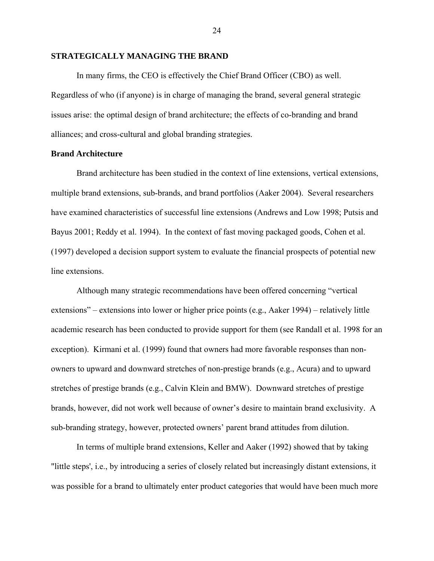#### **STRATEGICALLY MANAGING THE BRAND**

In many firms, the CEO is effectively the Chief Brand Officer (CBO) as well. Regardless of who (if anyone) is in charge of managing the brand, several general strategic issues arise: the optimal design of brand architecture; the effects of co-branding and brand alliances; and cross-cultural and global branding strategies.

### **Brand Architecture**

 Brand architecture has been studied in the context of line extensions, vertical extensions, multiple brand extensions, sub-brands, and brand portfolios (Aaker 2004). Several researchers have examined characteristics of successful line extensions (Andrews and Low 1998; Putsis and Bayus 2001; Reddy et al. 1994). In the context of fast moving packaged goods, Cohen et al. (1997) developed a decision support system to evaluate the financial prospects of potential new line extensions.

Although many strategic recommendations have been offered concerning "vertical extensions" – extensions into lower or higher price points (e.g., Aaker 1994) – relatively little academic research has been conducted to provide support for them (see Randall et al. 1998 for an exception). Kirmani et al. (1999) found that owners had more favorable responses than nonowners to upward and downward stretches of non-prestige brands (e.g., Acura) and to upward stretches of prestige brands (e.g., Calvin Klein and BMW). Downward stretches of prestige brands, however, did not work well because of owner's desire to maintain brand exclusivity. A sub-branding strategy, however, protected owners' parent brand attitudes from dilution.

In terms of multiple brand extensions, Keller and Aaker (1992) showed that by taking "little steps', i.e., by introducing a series of closely related but increasingly distant extensions, it was possible for a brand to ultimately enter product categories that would have been much more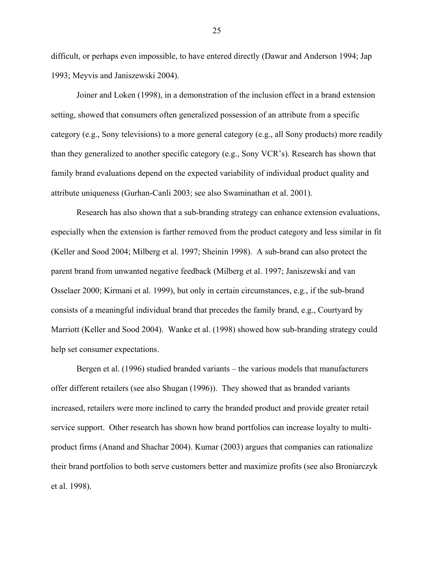difficult, or perhaps even impossible, to have entered directly (Dawar and Anderson 1994; Jap 1993; Meyvis and Janiszewski 2004).

Joiner and Loken (1998), in a demonstration of the inclusion effect in a brand extension setting, showed that consumers often generalized possession of an attribute from a specific category (e.g., Sony televisions) to a more general category (e.g., all Sony products) more readily than they generalized to another specific category (e.g., Sony VCR's). Research has shown that family brand evaluations depend on the expected variability of individual product quality and attribute uniqueness (Gurhan-Canli 2003; see also Swaminathan et al. 2001).

Research has also shown that a sub-branding strategy can enhance extension evaluations, especially when the extension is farther removed from the product category and less similar in fit (Keller and Sood 2004; Milberg et al. 1997; Sheinin 1998). A sub-brand can also protect the parent brand from unwanted negative feedback (Milberg et al. 1997; Janiszewski and van Osselaer 2000; Kirmani et al. 1999), but only in certain circumstances, e.g., if the sub-brand consists of a meaningful individual brand that precedes the family brand, e.g., Courtyard by Marriott (Keller and Sood 2004). Wanke et al. (1998) showed how sub-branding strategy could help set consumer expectations.

Bergen et al. (1996) studied branded variants – the various models that manufacturers offer different retailers (see also Shugan (1996)). They showed that as branded variants increased, retailers were more inclined to carry the branded product and provide greater retail service support. Other research has shown how brand portfolios can increase loyalty to multiproduct firms (Anand and Shachar 2004). Kumar (2003) argues that companies can rationalize their brand portfolios to both serve customers better and maximize profits (see also Broniarczyk et al. 1998).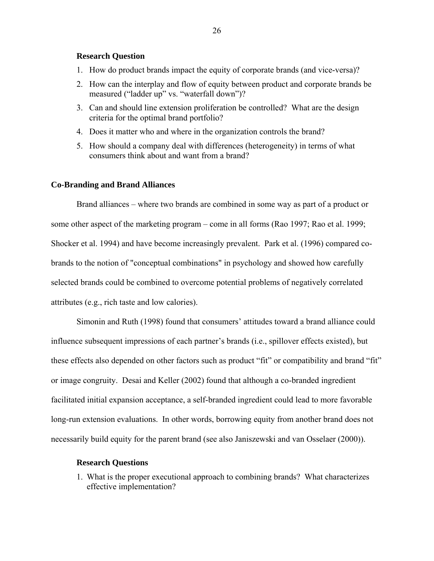### **Research Question**

- 1. How do product brands impact the equity of corporate brands (and vice-versa)?
- 2. How can the interplay and flow of equity between product and corporate brands be measured ("ladder up" vs. "waterfall down")?
- 3. Can and should line extension proliferation be controlled? What are the design criteria for the optimal brand portfolio?
- 4. Does it matter who and where in the organization controls the brand?
- 5. How should a company deal with differences (heterogeneity) in terms of what consumers think about and want from a brand?

## **Co-Branding and Brand Alliances**

Brand alliances – where two brands are combined in some way as part of a product or some other aspect of the marketing program – come in all forms (Rao 1997; Rao et al. 1999; Shocker et al. 1994) and have become increasingly prevalent. Park et al. (1996) compared cobrands to the notion of "conceptual combinations" in psychology and showed how carefully selected brands could be combined to overcome potential problems of negatively correlated attributes (e.g., rich taste and low calories).

Simonin and Ruth (1998) found that consumers' attitudes toward a brand alliance could influence subsequent impressions of each partner's brands (i.e., spillover effects existed), but these effects also depended on other factors such as product "fit" or compatibility and brand "fit" or image congruity. Desai and Keller (2002) found that although a co-branded ingredient facilitated initial expansion acceptance, a self-branded ingredient could lead to more favorable long-run extension evaluations. In other words, borrowing equity from another brand does not necessarily build equity for the parent brand (see also Janiszewski and van Osselaer (2000)).

#### **Research Questions**

1. What is the proper executional approach to combining brands? What characterizes effective implementation?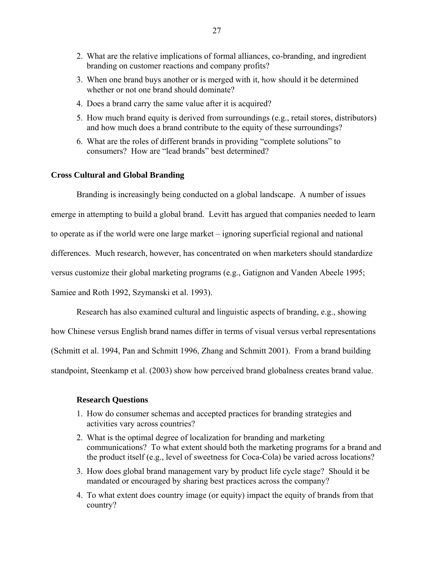- 2. What are the relative implications of formal alliances, co-branding, and ingredient branding on customer reactions and company profits?
- 3. When one brand buys another or is merged with it, how should it be determined whether or not one brand should dominate?
- 4. Does a brand carry the same value after it is acquired?
- 5. How much brand equity is derived from surroundings (e.g., retail stores, distributors) and how much does a brand contribute to the equity of these surroundings?
- 6. What are the roles of different brands in providing "complete solutions" to consumers? How are "lead brands" best determined?

# **Cross Cultural and Global Branding**

 Branding is increasingly being conducted on a global landscape. A number of issues emerge in attempting to build a global brand. Levitt has argued that companies needed to learn to operate as if the world were one large market – ignoring superficial regional and national differences. Much research, however, has concentrated on when marketers should standardize versus customize their global marketing programs (e.g., Gatignon and Vanden Abeele 1995; Samiee and Roth 1992, Szymanski et al. 1993).

Research has also examined cultural and linguistic aspects of branding, e.g., showing

how Chinese versus English brand names differ in terms of visual versus verbal representations

(Schmitt et al. 1994, Pan and Schmitt 1996, Zhang and Schmitt 2001). From a brand building

standpoint, Steenkamp et al. (2003) show how perceived brand globalness creates brand value.

#### **Research Questions**

- 1. How do consumer schemas and accepted practices for branding strategies and activities vary across countries?
- 2. What is the optimal degree of localization for branding and marketing communications? To what extent should both the marketing programs for a brand and the product itself (e.g., level of sweetness for Coca-Cola) be varied across locations?
- 3. How does global brand management vary by product life cycle stage? Should it be mandated or encouraged by sharing best practices across the company?
- 4. To what extent does country image (or equity) impact the equity of brands from that country?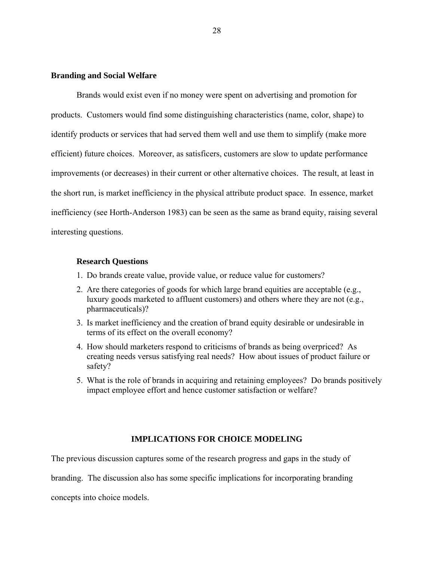### **Branding and Social Welfare**

Brands would exist even if no money were spent on advertising and promotion for products. Customers would find some distinguishing characteristics (name, color, shape) to identify products or services that had served them well and use them to simplify (make more efficient) future choices. Moreover, as satisficers, customers are slow to update performance improvements (or decreases) in their current or other alternative choices. The result, at least in the short run, is market inefficiency in the physical attribute product space. In essence, market inefficiency (see Horth-Anderson 1983) can be seen as the same as brand equity, raising several interesting questions.

#### **Research Questions**

- 1. Do brands create value, provide value, or reduce value for customers?
- 2. Are there categories of goods for which large brand equities are acceptable (e.g., luxury goods marketed to affluent customers) and others where they are not (e.g., pharmaceuticals)?
- 3. Is market inefficiency and the creation of brand equity desirable or undesirable in terms of its effect on the overall economy?
- 4. How should marketers respond to criticisms of brands as being overpriced? As creating needs versus satisfying real needs? How about issues of product failure or safety?
- 5. What is the role of brands in acquiring and retaining employees? Do brands positively impact employee effort and hence customer satisfaction or welfare?

### **IMPLICATIONS FOR CHOICE MODELING**

The previous discussion captures some of the research progress and gaps in the study of

branding. The discussion also has some specific implications for incorporating branding

concepts into choice models.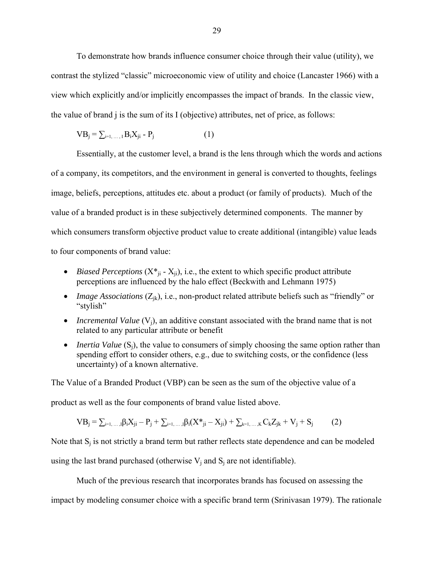To demonstrate how brands influence consumer choice through their value (utility), we contrast the stylized "classic" microeconomic view of utility and choice (Lancaster 1966) with a view which explicitly and/or implicitly encompasses the impact of brands. In the classic view, the value of brand j is the sum of its I (objective) attributes, net of price, as follows:

$$
VB_j = \sum_{i=1,\dots,I} B_i X_{ji} - P_j \tag{1}
$$

 Essentially, at the customer level, a brand is the lens through which the words and actions of a company, its competitors, and the environment in general is converted to thoughts, feelings image, beliefs, perceptions, attitudes etc. about a product (or family of products). Much of the value of a branded product is in these subjectively determined components. The manner by which consumers transform objective product value to create additional (intangible) value leads to four components of brand value:

- *Biased Perceptions* ( $X^*_{ji} X_{ji}$ ), i.e., the extent to which specific product attribute perceptions are influenced by the halo effect (Beckwith and Lehmann 1975)
- *Image Associations* ( $Z_{jk}$ ), i.e., non-product related attribute beliefs such as "friendly" or "stylish"
- *Incremental Value* (V<sub>i</sub>), an additive constant associated with the brand name that is not related to any particular attribute or benefit
- *Inertia Value* (S<sub>i</sub>), the value to consumers of simply choosing the same option rather than spending effort to consider others, e.g., due to switching costs, or the confidence (less uncertainty) of a known alternative.

The Value of a Branded Product (VBP) can be seen as the sum of the objective value of a product as well as the four components of brand value listed above.

$$
VB_j = \sum_{i=1,...,i} \beta_i X_{ji} - P_j + \sum_{i=1,...,i} \beta_i (X^*_{ji} - X_{ji}) + \sum_{k=1,...,K} C_k Z_{jk} + V_j + S_j \tag{2}
$$

Note that  $S_i$  is not strictly a brand term but rather reflects state dependence and can be modeled using the last brand purchased (otherwise  $V_i$  and  $S_i$  are not identifiable).

Much of the previous research that incorporates brands has focused on assessing the impact by modeling consumer choice with a specific brand term (Srinivasan 1979). The rationale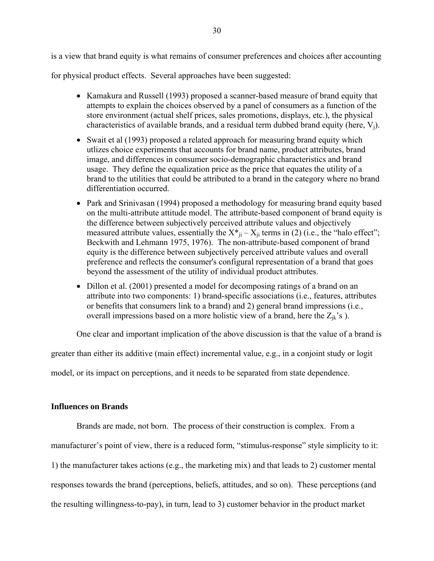is a view that brand equity is what remains of consumer preferences and choices after accounting

for physical product effects. Several approaches have been suggested:

- Kamakura and Russell (1993) proposed a scanner-based measure of brand equity that attempts to explain the choices observed by a panel of consumers as a function of the store environment (actual shelf prices, sales promotions, displays, etc.), the physical characteristics of available brands, and a residual term dubbed brand equity (here,  $V_i$ ).
- Swait et al (1993) proposed a related approach for measuring brand equity which utlizes choice experiments that accounts for brand name, product attributes, brand image, and differences in consumer socio-demographic characteristics and brand usage. They define the equalization price as the price that equates the utility of a brand to the utilities that could be attributed to a brand in the category where no brand differentiation occurred.
- Park and Srinivasan (1994) proposed a methodology for measuring brand equity based on the multi-attribute attitude model. The attribute-based component of brand equity is the difference between subjectively perceived attribute values and objectively measured attribute values, essentially the  $X^*_{ji} - X_{ji}$  terms in (2) (i.e., the "halo effect"; Beckwith and Lehmann 1975, 1976). The non-attribute-based component of brand equity is the difference between subjectively perceived attribute values and overall preference and reflects the consumer's configural representation of a brand that goes beyond the assessment of the utility of individual product attributes.
- Dillon et al. (2001) presented a model for decomposing ratings of a brand on an attribute into two components: 1) brand-specific associations (i.e., features, attributes or benefits that consumers link to a brand) and 2) general brand impressions (i.e., overall impressions based on a more holistic view of a brand, here the  $Z_{ik}$ 's ).

One clear and important implication of the above discussion is that the value of a brand is

greater than either its additive (main effect) incremental value, e.g., in a conjoint study or logit

model, or its impact on perceptions, and it needs to be separated from state dependence.

# **Influences on Brands**

Brands are made, not born. The process of their construction is complex. From a manufacturer's point of view, there is a reduced form, "stimulus-response" style simplicity to it: 1) the manufacturer takes actions (e.g., the marketing mix) and that leads to 2) customer mental responses towards the brand (perceptions, beliefs, attitudes, and so on). These perceptions (and the resulting willingness-to-pay), in turn, lead to 3) customer behavior in the product market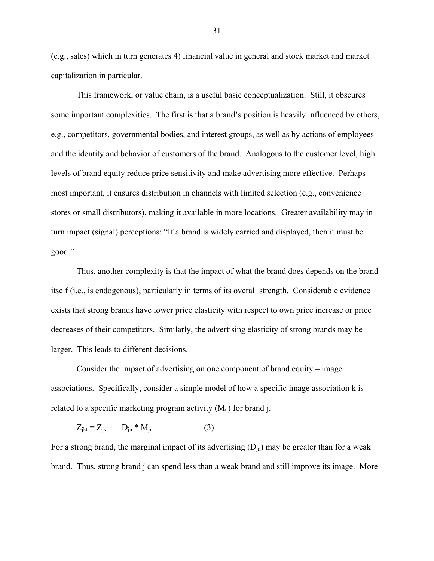(e.g., sales) which in turn generates 4) financial value in general and stock market and market capitalization in particular.

 This framework, or value chain, is a useful basic conceptualization. Still, it obscures some important complexities. The first is that a brand's position is heavily influenced by others, e.g., competitors, governmental bodies, and interest groups, as well as by actions of employees and the identity and behavior of customers of the brand. Analogous to the customer level, high levels of brand equity reduce price sensitivity and make advertising more effective. Perhaps most important, it ensures distribution in channels with limited selection (e.g., convenience stores or small distributors), making it available in more locations. Greater availability may in turn impact (signal) perceptions: "If a brand is widely carried and displayed, then it must be good."

Thus, another complexity is that the impact of what the brand does depends on the brand itself (i.e., is endogenous), particularly in terms of its overall strength. Considerable evidence exists that strong brands have lower price elasticity with respect to own price increase or price decreases of their competitors. Similarly, the advertising elasticity of strong brands may be larger. This leads to different decisions.

Consider the impact of advertising on one component of brand equity – image associations. Specifically, consider a simple model of how a specific image association k is related to a specific marketing program activity  $(M_n)$  for brand j.

$$
Z_{jkt} = Z_{jkt-1} + D_{jn} * M_{jn}
$$
 (3)

For a strong brand, the marginal impact of its advertising  $(D_{in})$  may be greater than for a weak brand. Thus, strong brand j can spend less than a weak brand and still improve its image. More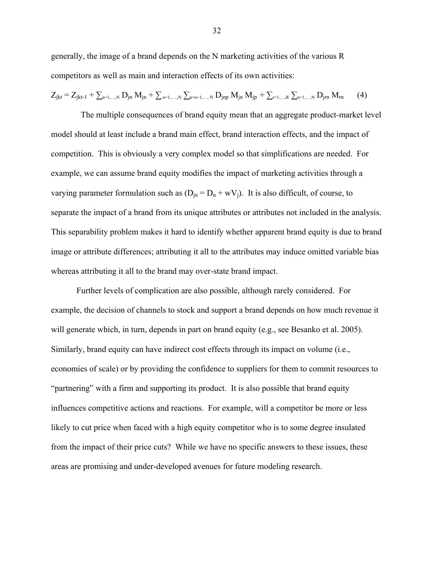generally, the image of a brand depends on the N marketing activities of the various R competitors as well as main and interaction effects of its own activities:

$$
Z_{jkt} = Z_{jkt-1} + \sum_{\text{n=1,\dots,N}}\,D_{jn}\;M_{jn} + \sum_{\text{n=1,\dots,N}}\,\sum_{\text{p=n+1,\dots,N}}\,D_{jnp}\;M_{jn}\;M_{jp} \,+\, \sum_{\text{n=1,\dots,R}}\,\sum_{\text{n=1,\dots,N}}\,D_{jrn}\;M_{rn} \qquad (4)
$$

 The multiple consequences of brand equity mean that an aggregate product-market level model should at least include a brand main effect, brand interaction effects, and the impact of competition. This is obviously a very complex model so that simplifications are needed. For example, we can assume brand equity modifies the impact of marketing activities through a varying parameter formulation such as  $(D_{in} = D_n + wV_i)$ . It is also difficult, of course, to separate the impact of a brand from its unique attributes or attributes not included in the analysis. This separability problem makes it hard to identify whether apparent brand equity is due to brand image or attribute differences; attributing it all to the attributes may induce omitted variable bias whereas attributing it all to the brand may over-state brand impact.

 Further levels of complication are also possible, although rarely considered. For example, the decision of channels to stock and support a brand depends on how much revenue it will generate which, in turn, depends in part on brand equity (e.g., see Besanko et al. 2005). Similarly, brand equity can have indirect cost effects through its impact on volume (i.e., economies of scale) or by providing the confidence to suppliers for them to commit resources to "partnering" with a firm and supporting its product. It is also possible that brand equity influences competitive actions and reactions. For example, will a competitor be more or less likely to cut price when faced with a high equity competitor who is to some degree insulated from the impact of their price cuts? While we have no specific answers to these issues, these areas are promising and under-developed avenues for future modeling research.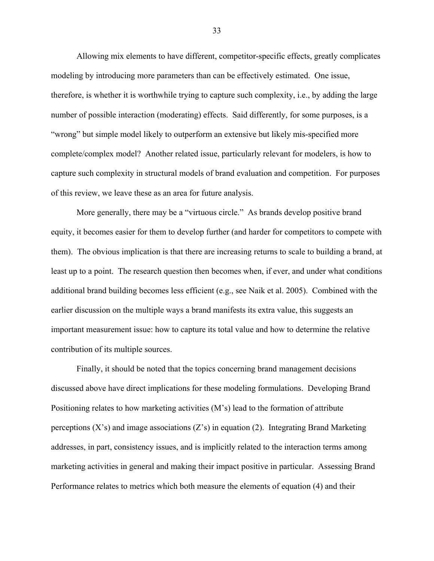Allowing mix elements to have different, competitor-specific effects, greatly complicates modeling by introducing more parameters than can be effectively estimated. One issue, therefore, is whether it is worthwhile trying to capture such complexity, i.e., by adding the large number of possible interaction (moderating) effects. Said differently, for some purposes, is a "wrong" but simple model likely to outperform an extensive but likely mis-specified more complete/complex model? Another related issue, particularly relevant for modelers, is how to capture such complexity in structural models of brand evaluation and competition. For purposes of this review, we leave these as an area for future analysis.

More generally, there may be a "virtuous circle." As brands develop positive brand equity, it becomes easier for them to develop further (and harder for competitors to compete with them). The obvious implication is that there are increasing returns to scale to building a brand, at least up to a point. The research question then becomes when, if ever, and under what conditions additional brand building becomes less efficient (e.g., see Naik et al. 2005). Combined with the earlier discussion on the multiple ways a brand manifests its extra value, this suggests an important measurement issue: how to capture its total value and how to determine the relative contribution of its multiple sources.

 Finally, it should be noted that the topics concerning brand management decisions discussed above have direct implications for these modeling formulations. Developing Brand Positioning relates to how marketing activities (M's) lead to the formation of attribute perceptions  $(X's)$  and image associations  $(Z's)$  in equation (2). Integrating Brand Marketing addresses, in part, consistency issues, and is implicitly related to the interaction terms among marketing activities in general and making their impact positive in particular. Assessing Brand Performance relates to metrics which both measure the elements of equation (4) and their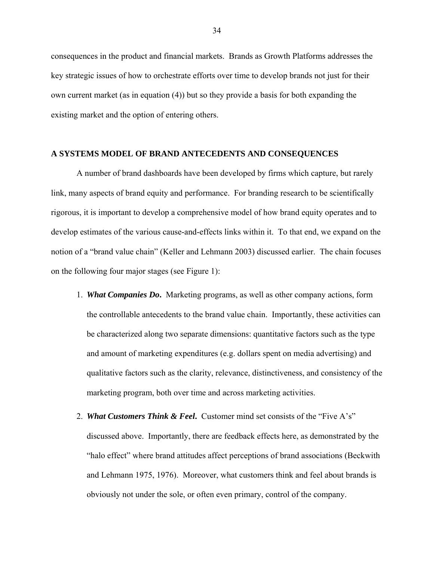consequences in the product and financial markets. Brands as Growth Platforms addresses the key strategic issues of how to orchestrate efforts over time to develop brands not just for their own current market (as in equation (4)) but so they provide a basis for both expanding the existing market and the option of entering others.

### **A SYSTEMS MODEL OF BRAND ANTECEDENTS AND CONSEQUENCES**

 A number of brand dashboards have been developed by firms which capture, but rarely link, many aspects of brand equity and performance. For branding research to be scientifically rigorous, it is important to develop a comprehensive model of how brand equity operates and to develop estimates of the various cause-and-effects links within it. To that end, we expand on the notion of a "brand value chain" (Keller and Lehmann 2003) discussed earlier. The chain focuses on the following four major stages (see Figure 1):

- 1. *What Companies Do***.** Marketing programs, as well as other company actions, form the controllable antecedents to the brand value chain. Importantly, these activities can be characterized along two separate dimensions: quantitative factors such as the type and amount of marketing expenditures (e.g. dollars spent on media advertising) and qualitative factors such as the clarity, relevance, distinctiveness, and consistency of the marketing program, both over time and across marketing activities.
- 2. *What Customers Think & Feel***.** Customer mind set consists of the "Five A's" discussed above. Importantly, there are feedback effects here, as demonstrated by the "halo effect" where brand attitudes affect perceptions of brand associations (Beckwith and Lehmann 1975, 1976). Moreover, what customers think and feel about brands is obviously not under the sole, or often even primary, control of the company.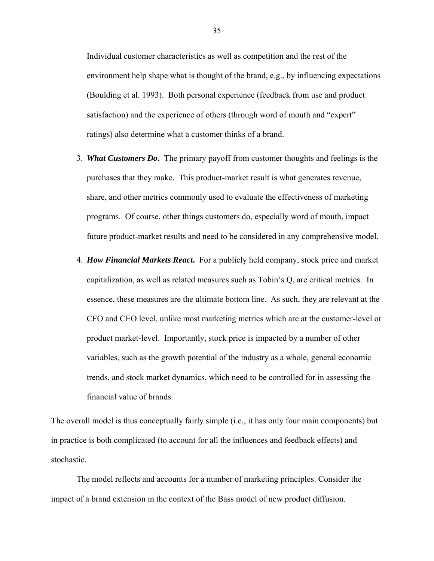Individual customer characteristics as well as competition and the rest of the environment help shape what is thought of the brand, e.g., by influencing expectations (Boulding et al. 1993). Both personal experience (feedback from use and product satisfaction) and the experience of others (through word of mouth and "expert" ratings) also determine what a customer thinks of a brand.

- 3. *What Customers Do***.** The primary payoff from customer thoughts and feelings is the purchases that they make. This product-market result is what generates revenue, share, and other metrics commonly used to evaluate the effectiveness of marketing programs. Of course, other things customers do, especially word of mouth, impact future product-market results and need to be considered in any comprehensive model.
- 4. *How Financial Markets React***.** For a publicly held company, stock price and market capitalization, as well as related measures such as Tobin's Q, are critical metrics. In essence, these measures are the ultimate bottom line. As such, they are relevant at the CFO and CEO level, unlike most marketing metrics which are at the customer-level or product market-level. Importantly, stock price is impacted by a number of other variables, such as the growth potential of the industry as a whole, general economic trends, and stock market dynamics, which need to be controlled for in assessing the financial value of brands.

The overall model is thus conceptually fairly simple (i.e., it has only four main components) but in practice is both complicated (to account for all the influences and feedback effects) and stochastic.

 The model reflects and accounts for a number of marketing principles. Consider the impact of a brand extension in the context of the Bass model of new product diffusion.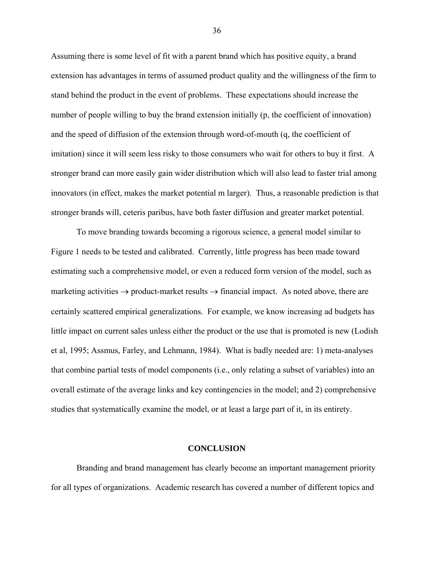Assuming there is some level of fit with a parent brand which has positive equity, a brand extension has advantages in terms of assumed product quality and the willingness of the firm to stand behind the product in the event of problems. These expectations should increase the number of people willing to buy the brand extension initially (p, the coefficient of innovation) and the speed of diffusion of the extension through word-of-mouth (q, the coefficient of imitation) since it will seem less risky to those consumers who wait for others to buy it first. A stronger brand can more easily gain wider distribution which will also lead to faster trial among innovators (in effect, makes the market potential m larger). Thus, a reasonable prediction is that stronger brands will, ceteris paribus, have both faster diffusion and greater market potential.

 To move branding towards becoming a rigorous science, a general model similar to Figure 1 needs to be tested and calibrated. Currently, little progress has been made toward estimating such a comprehensive model, or even a reduced form version of the model, such as marketing activities  $\rightarrow$  product-market results  $\rightarrow$  financial impact. As noted above, there are certainly scattered empirical generalizations. For example, we know increasing ad budgets has little impact on current sales unless either the product or the use that is promoted is new (Lodish et al, 1995; Assmus, Farley, and Lehmann, 1984). What is badly needed are: 1) meta-analyses that combine partial tests of model components (i.e., only relating a subset of variables) into an overall estimate of the average links and key contingencies in the model; and 2) comprehensive studies that systematically examine the model, or at least a large part of it, in its entirety.

### **CONCLUSION**

Branding and brand management has clearly become an important management priority for all types of organizations. Academic research has covered a number of different topics and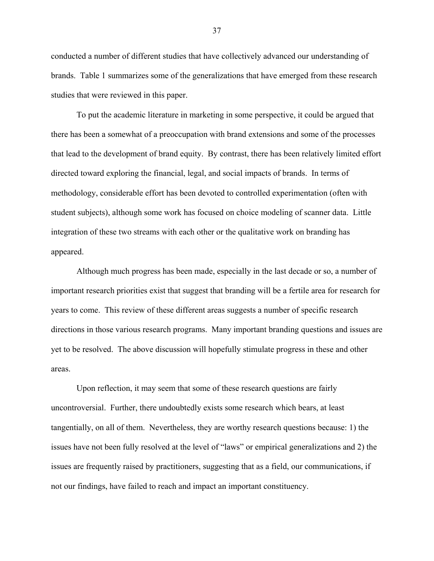conducted a number of different studies that have collectively advanced our understanding of brands. Table 1 summarizes some of the generalizations that have emerged from these research studies that were reviewed in this paper.

To put the academic literature in marketing in some perspective, it could be argued that there has been a somewhat of a preoccupation with brand extensions and some of the processes that lead to the development of brand equity. By contrast, there has been relatively limited effort directed toward exploring the financial, legal, and social impacts of brands. In terms of methodology, considerable effort has been devoted to controlled experimentation (often with student subjects), although some work has focused on choice modeling of scanner data. Little integration of these two streams with each other or the qualitative work on branding has appeared.

Although much progress has been made, especially in the last decade or so, a number of important research priorities exist that suggest that branding will be a fertile area for research for years to come. This review of these different areas suggests a number of specific research directions in those various research programs. Many important branding questions and issues are yet to be resolved. The above discussion will hopefully stimulate progress in these and other areas.

Upon reflection, it may seem that some of these research questions are fairly uncontroversial. Further, there undoubtedly exists some research which bears, at least tangentially, on all of them. Nevertheless, they are worthy research questions because: 1) the issues have not been fully resolved at the level of "laws" or empirical generalizations and 2) the issues are frequently raised by practitioners, suggesting that as a field, our communications, if not our findings, have failed to reach and impact an important constituency.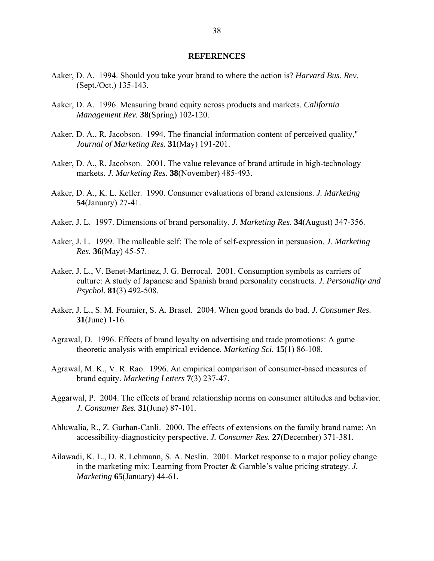#### **REFERENCES**

- Aaker, D. A. 1994. Should you take your brand to where the action is? *Harvard Bus. Rev.* (Sept./Oct.) 135-143.
- Aaker, D. A. 1996. Measuring brand equity across products and markets. *California Management Rev.* **38**(Spring) 102-120.
- Aaker, D. A., R. Jacobson. 1994. The financial information content of perceived quality," *Journal of Marketing Res.* **31**(May) 191-201.
- Aaker, D. A., R. Jacobson. 2001. The value relevance of brand attitude in high-technology markets. *J. Marketing Res.* **38**(November) 485-493.
- Aaker, D. A., K. L. Keller. 1990. Consumer evaluations of brand extensions. *J. Marketing* **54**(January) 27-41.
- Aaker, J. L. 1997. Dimensions of brand personality. *J. Marketing Res.* **34**(August) 347-356.
- Aaker, J. L. 1999. The malleable self: The role of self-expression in persuasion. *J. Marketing Res.* **36**(May) 45-57.
- Aaker, J. L., V. Benet-Martinez, J. G. Berrocal. 2001. Consumption symbols as carriers of culture: A study of Japanese and Spanish brand personality constructs. *J. Personality and Psychol.* **81**(3) 492-508.
- Aaker, J. L., S. M. Fournier, S. A. Brasel. 2004. When good brands do bad. *J. Consumer Res.* **31**(June) 1-16.
- Agrawal, D. 1996. Effects of brand loyalty on advertising and trade promotions: A game theoretic analysis with empirical evidence. *Marketing Sci.* **15**(1) 86-108.
- Agrawal, M. K., V. R. Rao. 1996. An empirical comparison of consumer-based measures of brand equity. *Marketing Letters* **7**(3) 237-47.
- Aggarwal, P. 2004. The effects of brand relationship norms on consumer attitudes and behavior. *J. Consumer Res.* **31**(June) 87-101.
- Ahluwalia, R., Z. Gurhan-Canli. 2000. The effects of extensions on the family brand name: An accessibility-diagnosticity perspective. *J. Consumer Res.* **27**(December) 371-381.
- Ailawadi, K. L., D. R. Lehmann, S. A. Neslin. 2001. Market response to a major policy change in the marketing mix: Learning from Procter & Gamble's value pricing strategy. *J. Marketing* **65**(January) 44-61.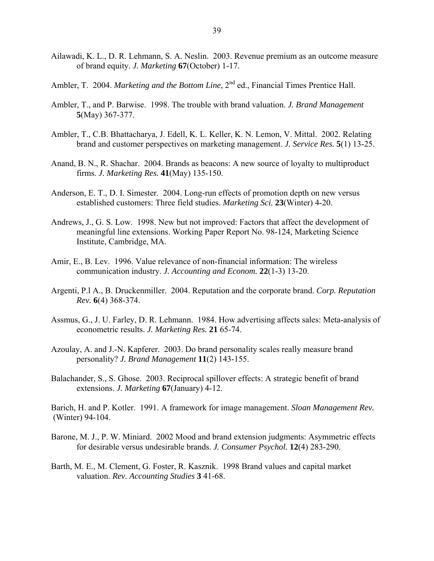- Ailawadi, K. L., D. R. Lehmann, S. A. Neslin. 2003. Revenue premium as an outcome measure of brand equity. *J. Marketing* **67**(October) 1-17.
- Ambler, T. 2004. *Marketing and the Bottom Line*, 2<sup>nd</sup> ed., Financial Times Prentice Hall.
- Ambler, T., and P. Barwise. 1998. The trouble with brand valuation. *J. Brand Management* **5**(May) 367-377.
- Ambler, T., C.B. Bhattacharya, J. Edell, K. L. Keller, K. N. Lemon, V. Mittal. 2002. Relating brand and customer perspectives on marketing management. *J. Service Res.* **5**(1) 13-25.
- Anand, B. N., R. Shachar. 2004. Brands as beacons: A new source of loyalty to multiproduct firms. *J. Marketing Res.* **41**(May) 135-150.
- Anderson, E. T., D. I. Simester. 2004. Long-run effects of promotion depth on new versus established customers: Three field studies. *Marketing Sci.* **23**(Winter) 4-20.
- Andrews, J., G. S. Low. 1998. New but not improved: Factors that affect the development of meaningful line extensions. Working Paper Report No. 98-124, Marketing Science Institute, Cambridge, MA.
- Amir, E., B. Lev. 1996. Value relevance of non-financial information: The wireless communication industry. *J. Accounting and Econom.* **22**(1-3) 13-20.
- Argenti, P.l A., B. Druckenmiller. 2004. Reputation and the corporate brand. *Corp. Reputation Rev.* **6**(4) 368-374.
- Assmus, G., J. U. Farley, D. R. Lehmann. 1984. How advertising affects sales: Meta-analysis of econometric results. *J. Marketing Res.* **21** 65-74.
- Azoulay, A. and J.-N. Kapferer. 2003. Do brand personality scales really measure brand personality? *J. Brand Management* **11**(2) 143-155.
- Balachander, S., S. Ghose. 2003. Reciprocal spillover effects: A strategic benefit of brand extensions. *J. Marketing* **67**(January) 4-12.

Barich, H. and P. Kotler. 1991. A framework for image management. *Sloan Management Rev.*  (Winter) 94-104.

- Barone, M. J., P. W. Miniard. 2002 Mood and brand extension judgments: Asymmetric effects for desirable versus undesirable brands. *J. Consumer Psychol.* **12**(4) 283-290.
- Barth, M. E., M. Clement, G. Foster, R. Kasznik. 1998 Brand values and capital market valuation. *Rev. Accounting Studies* **3** 41-68.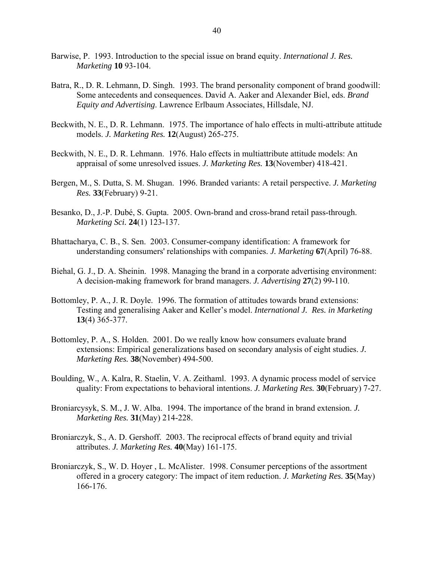- Barwise, P. 1993. Introduction to the special issue on brand equity. *International J. Res. Marketing* **10** 93-104.
- Batra, R., D. R. Lehmann, D. Singh. 1993. The brand personality component of brand goodwill: Some antecedents and consequences. David A. Aaker and Alexander Biel, eds. *Brand Equity and Advertising*. Lawrence Erlbaum Associates, Hillsdale, NJ.
- Beckwith, N. E., D. R. Lehmann. 1975. The importance of halo effects in multi-attribute attitude models. *J. Marketing Res.* **12**(August) 265-275.
- Beckwith, N. E., D. R. Lehmann. 1976. Halo effects in multiattribute attitude models: An appraisal of some unresolved issues. *J. Marketing Res.* **13**(November) 418-421.
- Bergen, M., S. Dutta, S. M. Shugan. 1996. Branded variants: A retail perspective. *J. Marketing Res.* **33**(February) 9-21.
- Besanko, D., J.-P. Dubé, S. Gupta. 2005. Own-brand and cross-brand retail pass-through. *Marketing Sci.* **24**(1) 123-137.
- Bhattacharya, C. B., S. Sen. 2003. Consumer-company identification: A framework for understanding consumers' relationships with companies. *J. Marketing* **67**(April) 76-88.
- Biehal, G. J., D. A. Sheinin. 1998. Managing the brand in a corporate advertising environment: A decision-making framework for brand managers. *J. Advertising* **27**(2) 99-110.
- Bottomley, P. A., J. R. Doyle. 1996. The formation of attitudes towards brand extensions: Testing and generalising Aaker and Keller's model. *International J. Res. in Marketing* **13**(4) 365-377.
- Bottomley, P. A., S. Holden. 2001. Do we really know how consumers evaluate brand extensions: Empirical generalizations based on secondary analysis of eight studies. *J. Marketing Res.* **38**(November) 494-500.
- Boulding, W., A. Kalra, R. Staelin, V. A. Zeithaml. 1993. A dynamic process model of service quality: From expectations to behavioral intentions. *J. Marketing Res.* **30**(February) 7-27.
- Broniarcysyk, S. M., J. W. Alba. 1994. The importance of the brand in brand extension. *J. Marketing Res.* **31**(May) 214-228.
- Broniarczyk, S., A. D. Gershoff. 2003. The reciprocal effects of brand equity and trivial attributes. *J. Marketing Res.* **40**(May) 161-175.
- Broniarczyk, S., W. D. Hoyer , L. McAlister. 1998. Consumer perceptions of the assortment offered in a grocery category: The impact of item reduction. *J. Marketing Res.* **35**(May) 166-176.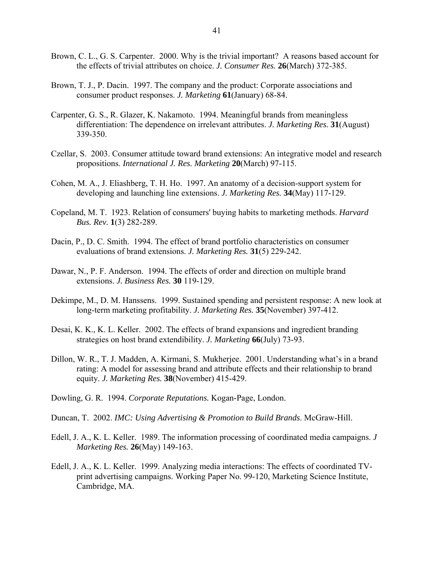- Brown, C. L., G. S. Carpenter. 2000. Why is the trivial important? A reasons based account for the effects of trivial attributes on choice. *J. Consumer Res.* **26**(March) 372-385.
- Brown, T. J., P. Dacin. 1997. The company and the product: Corporate associations and consumer product responses. *J. Marketing* **61**(January) 68-84.
- Carpenter, G. S., R. Glazer, K. Nakamoto. 1994. Meaningful brands from meaningless differentiation: The dependence on irrelevant attributes. *J. Marketing Res.* **31**(August) 339-350.
- Czellar, S. 2003. Consumer attitude toward brand extensions: An integrative model and research propositions. *International J. Res. Marketing* **20**(March) 97-115.
- Cohen, M. A., J. Eliashberg, T. H. Ho. 1997. An anatomy of a decision-support system for developing and launching line extensions. *J. Marketing Res.* **34**(May) 117-129.
- Copeland, M. T. 1923. Relation of consumers' buying habits to marketing methods. *Harvard Bus. Rev.* **1**(3) 282-289.
- Dacin, P., D. C. Smith. 1994. The effect of brand portfolio characteristics on consumer evaluations of brand extensions. *J. Marketing Res.* **31**(5) 229-242.
- Dawar, N., P. F. Anderson. 1994. The effects of order and direction on multiple brand extensions. *J. Business Res.* **30** 119-129.
- Dekimpe, M., D. M. Hanssens. 1999. Sustained spending and persistent response: A new look at long-term marketing profitability. *J. Marketing Res.* **35**(November) 397-412.
- Desai, K. K., K. L. Keller. 2002. The effects of brand expansions and ingredient branding strategies on host brand extendibility. *J. Marketing* **66**(July) 73-93.
- Dillon, W. R., T. J. Madden, A. Kirmani, S. Mukherjee. 2001. Understanding what's in a brand rating: A model for assessing brand and attribute effects and their relationship to brand equity. *J. Marketing Res.* **38**(November) 415-429.
- Dowling, G. R. 1994. *Corporate Reputations.* Kogan-Page, London.
- Duncan, T. 2002. *IMC: Using Advertising & Promotion to Build Brands*. McGraw-Hill.
- Edell, J. A., K. L. Keller. 1989. The information processing of coordinated media campaigns. *J Marketing Res.* **26**(May) 149-163.
- Edell, J. A., K. L. Keller. 1999. Analyzing media interactions: The effects of coordinated TVprint advertising campaigns. Working Paper No. 99-120, Marketing Science Institute, Cambridge, MA.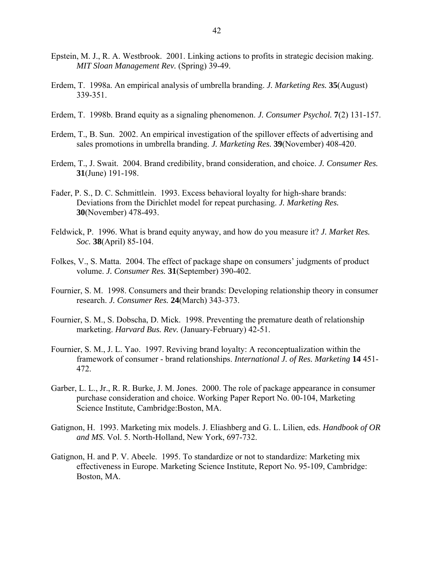- Epstein, M. J., R. A. Westbrook. 2001. Linking actions to profits in strategic decision making. *MIT Sloan Management Rev.* (Spring) 39-49.
- Erdem, T. 1998a. An empirical analysis of umbrella branding. *J. Marketing Res.* **35**(August) 339-351.
- Erdem, T. 1998b. Brand equity as a signaling phenomenon. *J. Consumer Psychol.* **7**(2) 131-157.
- Erdem, T., B. Sun. 2002. An empirical investigation of the spillover effects of advertising and sales promotions in umbrella branding. *J. Marketing Res.* **39**(November) 408-420.
- Erdem, T., J. Swait. 2004. Brand credibility, brand consideration, and choice. *J. Consumer Res.* **31**(June) 191-198.
- Fader, P. S., D. C. Schmittlein. 1993. Excess behavioral loyalty for high-share brands: Deviations from the Dirichlet model for repeat purchasing. *J. Marketing Res.* **30**(November) 478-493.
- Feldwick, P. 1996. What is brand equity anyway, and how do you measure it? *J. Market Res. Soc.* **38**(April) 85-104.
- Folkes, V., S. Matta. 2004. The effect of package shape on consumers' judgments of product volume. *J. Consumer Res.* **31**(September) 390-402.
- Fournier, S. M. 1998. Consumers and their brands: Developing relationship theory in consumer research. *J. Consumer Res.* **24**(March) 343-373.
- Fournier, S. M., S. Dobscha, D. Mick. 1998. Preventing the premature death of relationship marketing. *Harvard Bus. Rev.* (January-February) 42-51.
- Fournier, S. M., J. L. Yao. 1997. Reviving brand loyalty: A reconceptualization within the framework of consumer - brand relationships. *International J. of Res. Marketing* **14** 451- 472.
- Garber, L. L., Jr., R. R. Burke, J. M. Jones. 2000. The role of package appearance in consumer purchase consideration and choice. Working Paper Report No. 00-104, Marketing Science Institute, Cambridge:Boston, MA.
- Gatignon, H. 1993. Marketing mix models. J. Eliashberg and G. L. Lilien, eds. *Handbook of OR and MS*. Vol. 5. North-Holland, New York, 697-732.
- Gatignon, H. and P. V. Abeele. 1995. To standardize or not to standardize: Marketing mix effectiveness in Europe. Marketing Science Institute, Report No. 95-109, Cambridge: Boston, MA.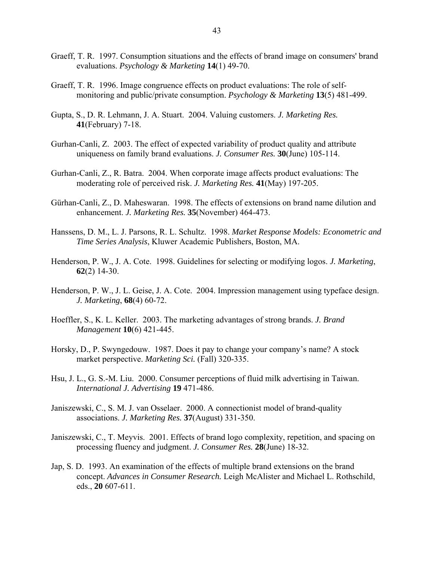- Graeff, T. R. 1997. Consumption situations and the effects of brand image on consumers' brand evaluations. *Psychology & Marketing* **14**(1) 49-70.
- Graeff, T. R. 1996. Image congruence effects on product evaluations: The role of selfmonitoring and public/private consumption. *Psychology & Marketing* **13**(5) 481-499.
- Gupta, S., D. R. Lehmann, J. A. Stuart. 2004. Valuing customers. *J. Marketing Res.* **41**(February) 7-18.
- Gurhan-Canli, Z. 2003. The effect of expected variability of product quality and attribute uniqueness on family brand evaluations. *J. Consumer Res.* **30**(June) 105-114.
- Gurhan-Canli, Z., R. Batra. 2004. When corporate image affects product evaluations: The moderating role of perceived risk. *J. Marketing Res.* **41**(May) 197-205.
- Gürhan-Canli, Z., D. Maheswaran. 1998. The effects of extensions on brand name dilution and enhancement. *J. Marketing Res.* **35**(November) 464-473.
- Hanssens, D. M., L. J. Parsons, R. L. Schultz. 1998. *Market Response Models: Econometric and Time Series Analysis*, Kluwer Academic Publishers, Boston, MA.
- Henderson, P. W., J. A. Cote. 1998. Guidelines for selecting or modifying logos. *J. Marketing*, **62**(2) 14-30.
- Henderson, P. W., J. L. Geise, J. A. Cote. 2004. Impression management using typeface design. *J. Marketing*, **68**(4) 60-72.
- Hoeffler, S., K. L. Keller. 2003. The marketing advantages of strong brands. *J. Brand Management* **10**(6) 421-445.
- Horsky, D., P. Swyngedouw. 1987. Does it pay to change your company's name? A stock market perspective. *Marketing Sci.* (Fall) 320-335.
- Hsu, J. L., G. S.-M. Liu. 2000. Consumer perceptions of fluid milk advertising in Taiwan. *International J. Advertising* **19** 471-486.
- Janiszewski, C., S. M. J. van Osselaer. 2000. A connectionist model of brand-quality associations. *J. Marketing Res.* **37**(August) 331-350.
- Janiszewski, C., T. Meyvis. 2001. Effects of brand logo complexity, repetition, and spacing on processing fluency and judgment. *J. Consumer Res.* **28**(June) 18-32.
- Jap, S. D. 1993. An examination of the effects of multiple brand extensions on the brand concept. *Advances in Consumer Research.* Leigh McAlister and Michael L. Rothschild, eds., **20** 607-611.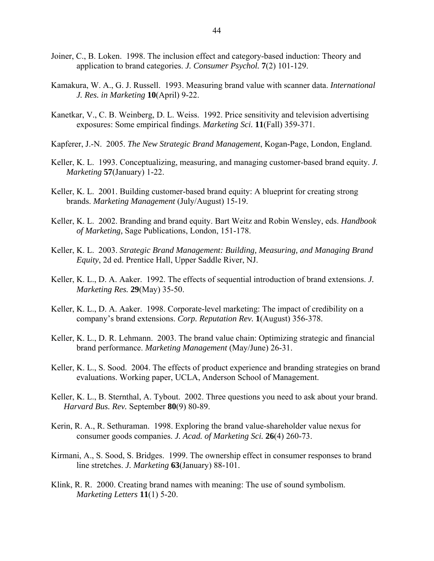- Joiner, C., B. Loken. 1998. The inclusion effect and category-based induction: Theory and application to brand categories. *J. Consumer Psychol.* **7**(2) 101-129.
- Kamakura, W. A., G. J. Russell. 1993. Measuring brand value with scanner data. *International J. Res. in Marketing* **10**(April) 9-22.
- Kanetkar, V., C. B. Weinberg, D. L. Weiss. 1992. Price sensitivity and television advertising exposures: Some empirical findings. *Marketing Sci.* **11**(Fall) 359-371.
- Kapferer, J.-N. 2005. *The New Strategic Brand Management*, Kogan-Page, London, England.
- Keller, K. L. 1993. Conceptualizing, measuring, and managing customer-based brand equity. *J. Marketing* **57**(January) 1-22.
- Keller, K. L. 2001. Building customer-based brand equity: A blueprint for creating strong brands. *Marketing Management* (July/August) 15-19.
- Keller, K. L. 2002. Branding and brand equity. Bart Weitz and Robin Wensley, eds. *Handbook of Marketing,* Sage Publications, London, 151-178.
- Keller, K. L. 2003. *Strategic Brand Management: Building, Measuring, and Managing Brand Equity*, 2d ed. Prentice Hall, Upper Saddle River, NJ.
- Keller, K. L., D. A. Aaker. 1992. The effects of sequential introduction of brand extensions. *J. Marketing Res.* **29**(May) 35-50.
- Keller, K. L., D. A. Aaker. 1998. Corporate-level marketing: The impact of credibility on a company's brand extensions. *Corp. Reputation Rev.* **1**(August) 356-378.
- Keller, K. L., D. R. Lehmann. 2003. The brand value chain: Optimizing strategic and financial brand performance. *Marketing Management* (May/June) 26-31.
- Keller, K. L., S. Sood. 2004. The effects of product experience and branding strategies on brand evaluations. Working paper, UCLA, Anderson School of Management.
- Keller, K. L., B. Sternthal, A. Tybout. 2002. Three questions you need to ask about your brand. *Harvard Bus. Rev.* September **80**(9) 80-89.
- Kerin, R. A., R. Sethuraman. 1998. Exploring the brand value-shareholder value nexus for consumer goods companies. *J. Acad. of Marketing Sci.* **26**(4) 260-73.
- Kirmani, A., S. Sood, S. Bridges. 1999. The ownership effect in consumer responses to brand line stretches. *J. Marketing* **63**(January) 88-101.
- Klink, R. R. 2000. Creating brand names with meaning: The use of sound symbolism. *Marketing Letters* **11**(1) 5-20.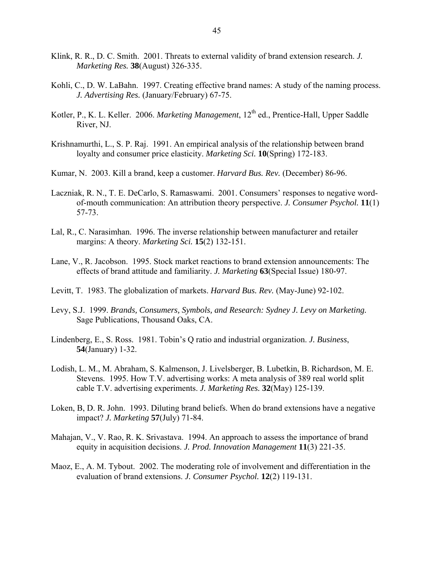- Klink, R. R., D. C. Smith. 2001. Threats to external validity of brand extension research. *J. Marketing Res.* **38**(August) 326-335.
- Kohli, C., D. W. LaBahn. 1997. Creating effective brand names: A study of the naming process. *J. Advertising Res.* (January/February) 67-75.
- Kotler, P., K. L. Keller. 2006. *Marketing Management*, 12<sup>th</sup> ed., Prentice-Hall, Upper Saddle River, NJ.
- Krishnamurthi, L., S. P. Raj. 1991. An empirical analysis of the relationship between brand loyalty and consumer price elasticity. *Marketing Sci.* **10**(Spring) 172-183.
- Kumar, N. 2003. Kill a brand, keep a customer. *Harvard Bus. Rev.* (December) 86-96.
- Laczniak, R. N., T. E. DeCarlo, S. Ramaswami. 2001. Consumers' responses to negative wordof-mouth communication: An attribution theory perspective. *J. Consumer Psychol.* **11**(1) 57-73.
- Lal, R., C. Narasimhan. 1996. The inverse relationship between manufacturer and retailer margins: A theory. *Marketing Sci.* **15**(2) 132-151.
- Lane, V., R. Jacobson. 1995. Stock market reactions to brand extension announcements: The effects of brand attitude and familiarity. *J. Marketing* **63**(Special Issue) 180-97.
- Levitt, T. 1983. The globalization of markets. *Harvard Bus. Rev.* (May-June) 92-102.
- Levy, S.J. 1999. *Brands, Consumers, Symbols, and Research: Sydney J. Levy on Marketing.* Sage Publications, Thousand Oaks, CA.
- Lindenberg, E., S. Ross. 1981. Tobin's Q ratio and industrial organization. *J. Business*, **54**(January) 1-32.
- Lodish, L. M., M. Abraham, S. Kalmenson, J. Livelsberger, B. Lubetkin, B. Richardson, M. E. Stevens. 1995. How T.V. advertising works: A meta analysis of 389 real world split cable T.V. advertising experiments. *J. Marketing Res.* **32**(May) 125-139.
- Loken, B, D. R. John. 1993. Diluting brand beliefs. When do brand extensions have a negative impact? *J. Marketing* **57**(July) 71-84.
- Mahajan, V., V. Rao, R. K. Srivastava. 1994. An approach to assess the importance of brand equity in acquisition decisions. *J. Prod. Innovation Management* **11**(3) 221-35.
- Maoz, E., A. M. Tybout. 2002. The moderating role of involvement and differentiation in the evaluation of brand extensions. *J. Consumer Psychol.* **12**(2) 119-131.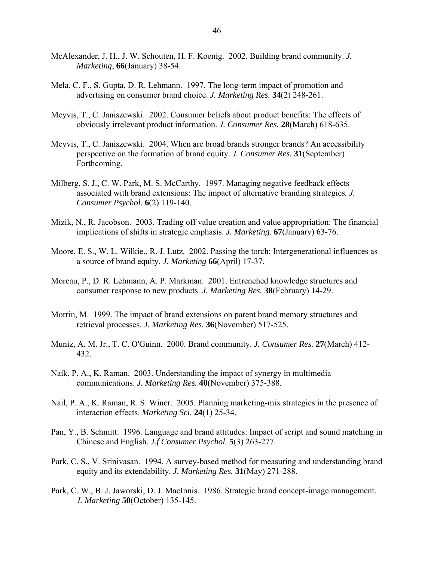- McAlexander, J. H., J. W. Schouten, H. F. Koenig. 2002. Building brand community. *J. Marketing*, **66**(January) 38-54.
- Mela, C. F., S. Gupta, D. R. Lehmann. 1997. The long-term impact of promotion and advertising on consumer brand choice. *J. Marketing Res.* **34**(2) 248-261.
- Meyvis, T., C. Janiszewski. 2002. Consumer beliefs about product benefits: The effects of obviously irrelevant product information. *J. Consumer Res.* **28**(March) 618-635.
- Meyvis, T., C. Janiszewski. 2004. When are broad brands stronger brands? An accessibility perspective on the formation of brand equity. *J. Consumer Res.* **31**(September) Forthcoming.
- Milberg, S. J., C. W. Park, M. S. McCarthy. 1997. Managing negative feedback effects associated with brand extensions: The impact of alternative branding strategies*. J. Consumer Psychol.* **6**(2) 119-140.
- Mizik, N., R. Jacobson. 2003. Trading off value creation and value appropriation: The financial implications of shifts in strategic emphasis. *J. Marketing*. **67**(January) 63-76.
- Moore, E. S., W. L. Wilkie., R. J. Lutz. 2002. Passing the torch: Intergenerational influences as a source of brand equity. *J. Marketing* **66**(April) 17-37.
- Moreau, P., D. R. Lehmann, A. P. Markman. 2001. Entrenched knowledge structures and consumer response to new products. *J. Marketing Res.* **38**(February) 14-29.
- Morrin, M. 1999. The impact of brand extensions on parent brand memory structures and retrieval processes. *J. Marketing Res.* **36**(November) 517-525.
- Muniz, A. M. Jr., T. C. O'Guinn. 2000. Brand community. *J. Consumer Res.* **27**(March) 412- 432.
- Naik, P. A., K. Raman. 2003. Understanding the impact of synergy in multimedia communications. *J. Marketing Res.* **40**(November) 375-388.
- Nail, P. A., K. Raman, R. S. Winer. 2005. Planning marketing-mix strategies in the presence of interaction effects. *Marketing Sci.* **24**(1) 25-34.
- Pan, Y., B. Schmitt. 1996. Language and brand attitudes: Impact of script and sound matching in Chinese and English. *J.f Consumer Psychol.* **5**(3) 263-277.
- Park, C. S., V. Srinivasan. 1994. A survey-based method for measuring and understanding brand equity and its extendability. *J. Marketing Res.* **31**(May) 271-288.
- Park, C. W., B. J. Jaworski, D. J. MacInnis. 1986. Strategic brand concept-image management. *J. Marketing* **50**(October) 135-145.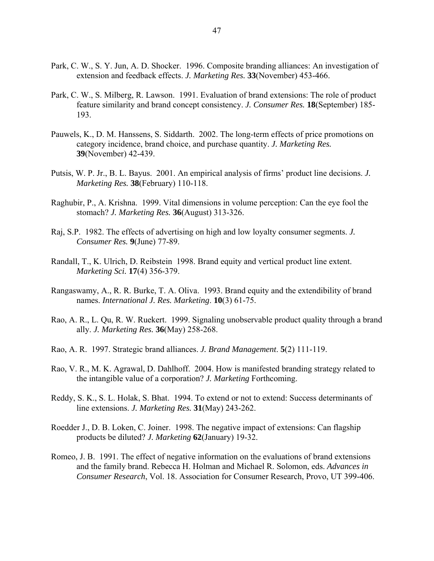- Park, C. W., S. Y. Jun, A. D. Shocker. 1996. Composite branding alliances: An investigation of extension and feedback effects. *J. Marketing Res.* **33**(November) 453-466.
- Park, C. W., S. Milberg, R. Lawson. 1991. Evaluation of brand extensions: The role of product feature similarity and brand concept consistency. *J. Consumer Res.* **18**(September) 185- 193.
- Pauwels, K., D. M. Hanssens, S. Siddarth. 2002. The long-term effects of price promotions on category incidence, brand choice, and purchase quantity. *J. Marketing Res.* **39**(November) 42-439.
- Putsis, W. P. Jr., B. L. Bayus. 2001. An empirical analysis of firms' product line decisions. *J. Marketing Res.* **38**(February) 110-118.
- Raghubir, P., A. Krishna. 1999. Vital dimensions in volume perception: Can the eye fool the stomach? *J. Marketing Res.* **36**(August) 313-326.
- Raj, S.P. 1982. The effects of advertising on high and low loyalty consumer segments. *J. Consumer Res.* **9**(June) 77-89.
- Randall, T., K. Ulrich, D. Reibstein 1998. Brand equity and vertical product line extent. *Marketing Sci.* **17**(4) 356-379.
- Rangaswamy, A., R. R. Burke, T. A. Oliva. 1993. Brand equity and the extendibility of brand names. *International J. Res. Marketing*. **10**(3) 61-75.
- Rao, A. R., L. Qu, R. W. Ruekert. 1999. Signaling unobservable product quality through a brand ally. *J. Marketing Res.* **36**(May) 258-268.
- Rao, A. R. 1997. Strategic brand alliances. *J. Brand Management*. **5**(2) 111-119.
- Rao, V. R., M. K. Agrawal, D. Dahlhoff. 2004. How is manifested branding strategy related to the intangible value of a corporation? *J. Marketing* Forthcoming.
- Reddy, S. K., S. L. Holak, S. Bhat. 1994. To extend or not to extend: Success determinants of line extensions. *J. Marketing Res.* **31**(May) 243-262.
- Roedder J., D. B. Loken, C. Joiner. 1998. The negative impact of extensions: Can flagship products be diluted? *J. Marketing* **62**(January) 19-32.
- Romeo, J. B. 1991. The effect of negative information on the evaluations of brand extensions and the family brand. Rebecca H. Holman and Michael R. Solomon, eds. *Advances in Consumer Research*, Vol. 18. Association for Consumer Research, Provo, UT 399-406.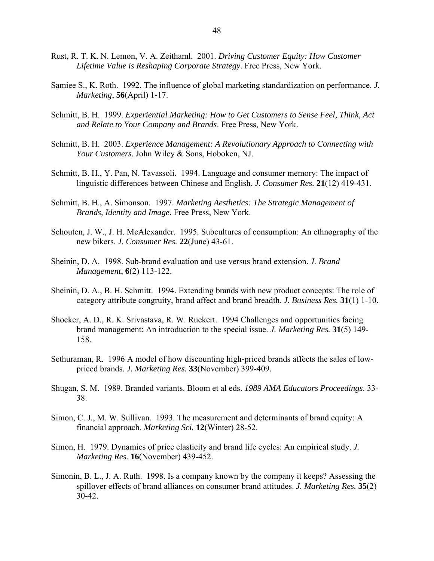- Rust, R. T. K. N. Lemon, V. A. Zeithaml. 2001. *Driving Customer Equity: How Customer Lifetime Value is Reshaping Corporate Strategy*. Free Press, New York.
- Samiee S., K. Roth. 1992. The influence of global marketing standardization on performance. *J. Marketing*, **56**(April) 1-17.
- Schmitt, B. H. 1999. *Experiential Marketing: How to Get Customers to Sense Feel, Think, Act and Relate to Your Company and Brands*. Free Press, New York.
- Schmitt, B. H. 2003. *Experience Management: A Revolutionary Approach to Connecting with Your Customers.* John Wiley & Sons, Hoboken, NJ.
- Schmitt, B. H., Y. Pan, N. Tavassoli. 1994. Language and consumer memory: The impact of linguistic differences between Chinese and English. *J. Consumer Res.* **21**(12) 419-431.
- Schmitt, B. H., A. Simonson. 1997. *Marketing Aesthetics: The Strategic Management of Brands, Identity and Image*. Free Press, New York.
- Schouten, J. W., J. H. McAlexander. 1995. Subcultures of consumption: An ethnography of the new bikers. *J. Consumer Res.* **22**(June) 43-61.
- Sheinin, D. A. 1998. Sub-brand evaluation and use versus brand extension. *J. Brand Management*, **6**(2) 113-122.
- Sheinin, D. A., B. H. Schmitt. 1994. Extending brands with new product concepts: The role of category attribute congruity, brand affect and brand breadth. *J. Business Res.* **31**(1) 1-10.
- Shocker, A. D., R. K. Srivastava, R. W. Ruekert. 1994 Challenges and opportunities facing brand management: An introduction to the special issue. *J. Marketing Res.* **31**(5) 149- 158.
- Sethuraman, R. 1996 A model of how discounting high-priced brands affects the sales of lowpriced brands. *J. Marketing Res.* **33**(November) 399-409.
- Shugan, S. M. 1989. Branded variants. Bloom et al eds. *1989 AMA Educators Proceedings*. 33- 38.
- Simon, C. J., M. W. Sullivan. 1993. The measurement and determinants of brand equity: A financial approach. *Marketing Sci.* **12**(Winter) 28-52.
- Simon, H. 1979. Dynamics of price elasticity and brand life cycles: An empirical study. *J. Marketing Res.* **16**(November) 439-452.
- Simonin, B. L., J. A. Ruth. 1998. Is a company known by the company it keeps? Assessing the spillover effects of brand alliances on consumer brand attitudes. *J. Marketing Res.* **35**(2) 30-42.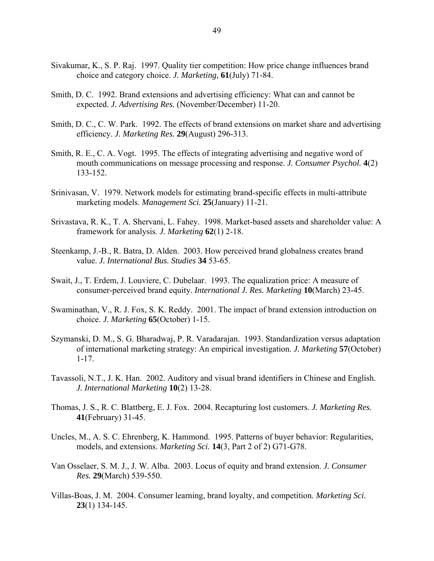- Sivakumar, K., S. P. Raj. 1997. Quality tier competition: How price change influences brand choice and category choice. *J. Marketing,* **61**(July) 71-84.
- Smith, D. C. 1992. Brand extensions and advertising efficiency: What can and cannot be expected. *J. Advertising Res.* (November/December) 11-20.
- Smith, D. C., C. W. Park. 1992. The effects of brand extensions on market share and advertising efficiency. *J. Marketing Res.* **29**(August) 296-313.
- Smith, R. E., C. A. Vogt. 1995. The effects of integrating advertising and negative word of mouth communications on message processing and response. *J. Consumer Psychol.* **4**(2) 133-152.
- Srinivasan, V. 1979. Network models for estimating brand-specific effects in multi-attribute marketing models. *Management Sci.* **25**(January) 11-21.
- Srivastava, R. K., T. A. Shervani, L. Fahey. 1998. Market-based assets and shareholder value: A framework for analysis. *J. Marketing* **62**(1) 2-18.
- Steenkamp, J.-B., R. Batra, D. Alden. 2003. How perceived brand globalness creates brand value. *J. International Bus. Studies* **34** 53-65.
- Swait, J., T. Erdem, J. Louviere, C. Dubelaar. 1993. The equalization price: A measure of consumer-perceived brand equity. *International J. Res. Marketing* **10**(March) 23-45.
- Swaminathan, V., R. J. Fox, S. K. Reddy. 2001. The impact of brand extension introduction on choice. *J. Marketing* **65**(October) 1-15.
- Szymanski, D. M., S. G. Bharadwaj, P. R. Varadarajan. 1993. Standardization versus adaptation of international marketing strategy: An empirical investigation. *J. Marketing* **57**(October) 1-17.
- Tavassoli, N.T., J. K. Han. 2002. Auditory and visual brand identifiers in Chinese and English. *J. International Marketing* **10**(2) 13-28.
- Thomas, J. S., R. C. Blattberg, E. J. Fox. 2004. Recapturing lost customers. *J. Marketing Res.* **41**(February) 31-45.
- Uncles, M., A. S. C. Ehrenberg, K. Hammond. 1995. Patterns of buyer behavior: Regularities, models, and extensions. *Marketing Sci.* **14**(3, Part 2 of 2) G71-G78.
- Van Osselaer, S. M. J., J. W. Alba. 2003. Locus of equity and brand extension. *J. Consumer Res.* **29**(March) 539-550.
- Villas-Boas, J. M. 2004. Consumer learning, brand loyalty, and competition. *Marketing Sci.* **23**(1) 134-145.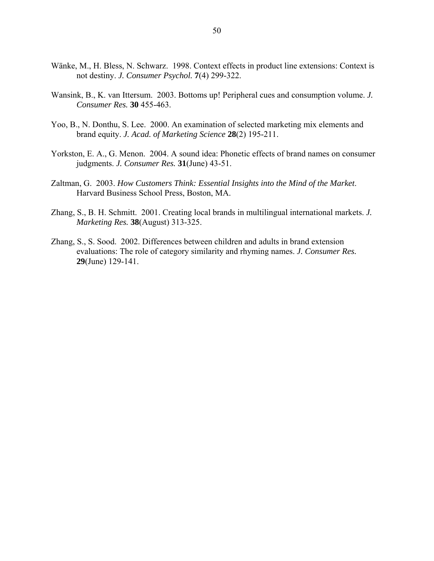- Wänke, M., H. Bless, N. Schwarz. 1998. Context effects in product line extensions: Context is not destiny. *J. Consumer Psychol.* **7**(4) 299-322.
- Wansink, B., K. van Ittersum. 2003. Bottoms up! Peripheral cues and consumption volume. *J. Consumer Res.* **30** 455-463.
- Yoo, B., N. Donthu, S. Lee. 2000. An examination of selected marketing mix elements and brand equity. *J. Acad. of Marketing Science* **28**(2) 195-211.
- Yorkston, E. A., G. Menon. 2004. A sound idea: Phonetic effects of brand names on consumer judgments. *J. Consumer Res.* **31**(June) 43-51.
- Zaltman, G. 2003. *How Customers Think: Essential Insights into the Mind of the Market*. Harvard Business School Press, Boston, MA.
- Zhang, S., B. H. Schmitt. 2001. Creating local brands in multilingual international markets. *J. Marketing Res.* **38**(August) 313-325.
- Zhang, S., S. Sood. 2002. Differences between children and adults in brand extension evaluations: The role of category similarity and rhyming names. *J. Consumer Res.* **29**(June) 129-141.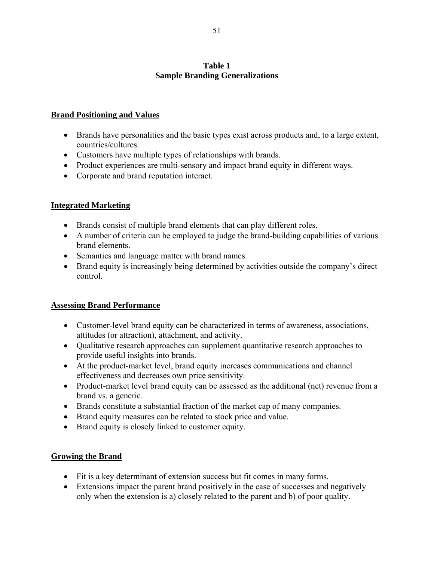# **Table 1 Sample Branding Generalizations**

# **Brand Positioning and Values**

- Brands have personalities and the basic types exist across products and, to a large extent, countries/cultures.
- Customers have multiple types of relationships with brands.
- Product experiences are multi-sensory and impact brand equity in different ways.
- Corporate and brand reputation interact.

# **Integrated Marketing**

- Brands consist of multiple brand elements that can play different roles.
- A number of criteria can be employed to judge the brand-building capabilities of various brand elements.
- Semantics and language matter with brand names.
- Brand equity is increasingly being determined by activities outside the company's direct control.

# **Assessing Brand Performance**

- Customer-level brand equity can be characterized in terms of awareness, associations, attitudes (or attraction), attachment, and activity.
- Qualitative research approaches can supplement quantitative research approaches to provide useful insights into brands.
- At the product-market level, brand equity increases communications and channel effectiveness and decreases own price sensitivity.
- Product-market level brand equity can be assessed as the additional (net) revenue from a brand vs. a generic.
- Brands constitute a substantial fraction of the market cap of many companies.
- Brand equity measures can be related to stock price and value.
- Brand equity is closely linked to customer equity.

# **Growing the Brand**

- Fit is a key determinant of extension success but fit comes in many forms.
- Extensions impact the parent brand positively in the case of successes and negatively only when the extension is a) closely related to the parent and b) of poor quality.